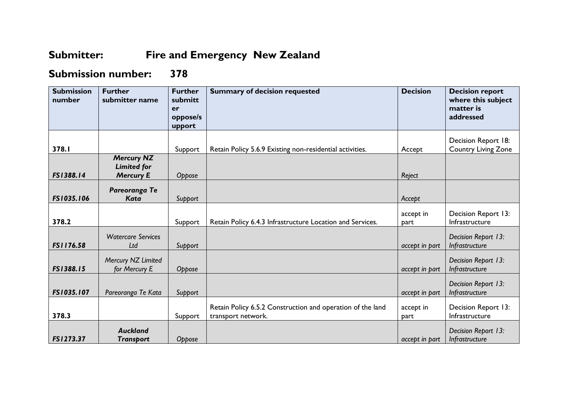## **Submitter: Fire and Emergency New Zealand**

## **Submission number: 378**

| <b>Submission</b><br>number | <b>Further</b><br>submitter name                            | <b>Further</b><br>submitt<br>er<br>oppose/s<br>upport | <b>Summary of decision requested</b>                                             | <b>Decision</b>   | <b>Decision report</b><br>where this subject<br>matter is<br>addressed |
|-----------------------------|-------------------------------------------------------------|-------------------------------------------------------|----------------------------------------------------------------------------------|-------------------|------------------------------------------------------------------------|
| 378.I                       |                                                             | Support                                               | Retain Policy 5.6.9 Existing non-residential activities.                         | Accept            | Decision Report 18:<br><b>Country Living Zone</b>                      |
| FS1388.14                   | <b>Mercury NZ</b><br><b>Limited for</b><br><b>Mercury E</b> | Oppose                                                |                                                                                  | Reject            |                                                                        |
| FS1035.106                  | Pareoranga Te<br><b>Kata</b>                                | Support                                               |                                                                                  | Accept            |                                                                        |
| 378.2                       |                                                             | Support                                               | Retain Policy 6.4.3 Infrastructure Location and Services.                        | accept in<br>part | Decision Report 13:<br>Infrastructure                                  |
| FS1176.58                   | <b>Watercare Services</b><br>Ltd                            | Support                                               |                                                                                  | accept in part    | Decision Report 13:<br>Infrastructure                                  |
| FS1388.15                   | Mercury NZ Limited<br>for Mercury E                         | Oppose                                                |                                                                                  | accept in part    | Decision Report 13:<br>Infrastructure                                  |
| FS1035.107                  | Pareoranga Te Kata                                          | Support                                               |                                                                                  | accept in part    | Decision Report 13:<br>Infrastructure                                  |
| 378.3                       |                                                             | Support                                               | Retain Policy 6.5.2 Construction and operation of the land<br>transport network. | accept in<br>part | Decision Report 13:<br>Infrastructure                                  |
| FS1273.37                   | <b>Auckland</b><br><b>Transport</b>                         | Oppose                                                |                                                                                  | accept in part    | Decision Report 13:<br>Infrastructure                                  |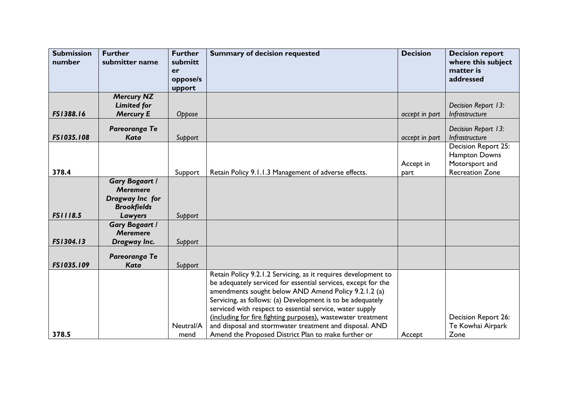| <b>Submission</b><br>number | <b>Further</b><br>submitter name                                                             | <b>Further</b><br>submitt<br>er<br>oppose/s<br>upport | <b>Summary of decision requested</b>                                                                                                                                                                                                                                                                                                                                                                                                                                                                | <b>Decision</b>   | <b>Decision report</b><br>where this subject<br>matter is<br>addressed           |
|-----------------------------|----------------------------------------------------------------------------------------------|-------------------------------------------------------|-----------------------------------------------------------------------------------------------------------------------------------------------------------------------------------------------------------------------------------------------------------------------------------------------------------------------------------------------------------------------------------------------------------------------------------------------------------------------------------------------------|-------------------|----------------------------------------------------------------------------------|
|                             | <b>Mercury NZ</b>                                                                            |                                                       |                                                                                                                                                                                                                                                                                                                                                                                                                                                                                                     |                   |                                                                                  |
|                             | <b>Limited for</b>                                                                           |                                                       |                                                                                                                                                                                                                                                                                                                                                                                                                                                                                                     |                   | Decision Report 13:                                                              |
| FS1388.16                   | <b>Mercury E</b>                                                                             | Oppose                                                |                                                                                                                                                                                                                                                                                                                                                                                                                                                                                                     | accept in part    | Infrastructure                                                                   |
| FS1035.108                  | Pareoranga Te<br><b>Kata</b>                                                                 | Support                                               |                                                                                                                                                                                                                                                                                                                                                                                                                                                                                                     | accept in part    | Decision Report 13:<br>Infrastructure                                            |
| 378.4                       |                                                                                              | Support                                               | Retain Policy 9.1.1.3 Management of adverse effects.                                                                                                                                                                                                                                                                                                                                                                                                                                                | Accept in<br>part | Decision Report 25:<br>Hampton Downs<br>Motorsport and<br><b>Recreation Zone</b> |
| <b>FS1118.5</b>             | <b>Gary Bogaart /</b><br><b>Meremere</b><br>Dragway Inc for<br><b>Brookfields</b><br>Lawyers | Support                                               |                                                                                                                                                                                                                                                                                                                                                                                                                                                                                                     |                   |                                                                                  |
| FS1304.13                   | <b>Gary Bogaart /</b><br><b>Meremere</b><br>Dragway Inc.                                     | Support                                               |                                                                                                                                                                                                                                                                                                                                                                                                                                                                                                     |                   |                                                                                  |
| FS1035.109                  | Pareoranga Te<br><b>Kata</b>                                                                 | Support                                               |                                                                                                                                                                                                                                                                                                                                                                                                                                                                                                     |                   |                                                                                  |
| 378.5                       |                                                                                              | Neutral/A<br>mend                                     | Retain Policy 9.2.1.2 Servicing, as it requires development to<br>be adequately serviced for essential services, except for the<br>amendments sought below AND Amend Policy 9.2.1.2 (a)<br>Servicing, as follows: (a) Development is to be adequately<br>serviced with respect to essential service, water supply<br>(including for fire fighting purposes), wastewater treatment<br>and disposal and stormwater treatment and disposal. AND<br>Amend the Proposed District Plan to make further or | Accept            | <b>Decision Report 26:</b><br>Te Kowhai Airpark<br>Zone                          |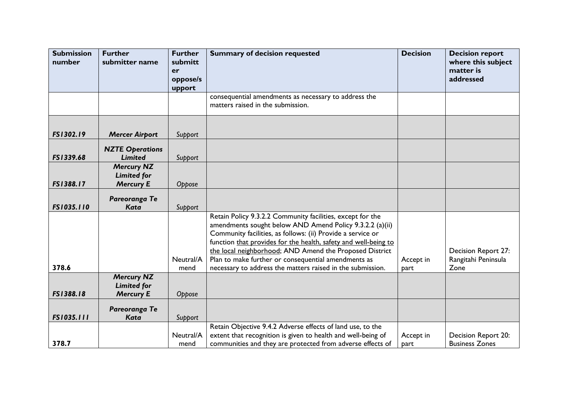| <b>Submission</b> | <b>Further</b>         | <b>Further</b>     | <b>Summary of decision requested</b>                            | <b>Decision</b> | <b>Decision report</b> |
|-------------------|------------------------|--------------------|-----------------------------------------------------------------|-----------------|------------------------|
| number            | submitter name         | submitt            |                                                                 |                 | where this subject     |
|                   |                        | er                 |                                                                 |                 | matter is              |
|                   |                        | oppose/s<br>upport |                                                                 |                 | addressed              |
|                   |                        |                    | consequential amendments as necessary to address the            |                 |                        |
|                   |                        |                    | matters raised in the submission.                               |                 |                        |
|                   |                        |                    |                                                                 |                 |                        |
| FS1302.19         | <b>Mercer Airport</b>  | Support            |                                                                 |                 |                        |
|                   | <b>NZTE Operations</b> |                    |                                                                 |                 |                        |
| FS1339.68         | <b>Limited</b>         | Support            |                                                                 |                 |                        |
|                   | <b>Mercury NZ</b>      |                    |                                                                 |                 |                        |
|                   | <b>Limited for</b>     |                    |                                                                 |                 |                        |
| FS1388.17         | <b>Mercury E</b>       | Oppose             |                                                                 |                 |                        |
|                   | Pareoranga Te          |                    |                                                                 |                 |                        |
| FS1035.110        | <b>Kata</b>            | Support            |                                                                 |                 |                        |
|                   |                        |                    | Retain Policy 9.3.2.2 Community facilities, except for the      |                 |                        |
|                   |                        |                    | amendments sought below AND Amend Policy 9.3.2.2 (a)(ii)        |                 |                        |
|                   |                        |                    | Community facilities, as follows: (ii) Provide a service or     |                 |                        |
|                   |                        |                    | function that provides for the health, safety and well-being to |                 |                        |
|                   |                        |                    | the local neighborhood; AND Amend the Proposed District         |                 | Decision Report 27:    |
|                   |                        | Neutral/A          | Plan to make further or consequential amendments as             | Accept in       | Rangitahi Peninsula    |
| 378.6             |                        | mend               | necessary to address the matters raised in the submission.      | part            | Zone                   |
|                   | <b>Mercury NZ</b>      |                    |                                                                 |                 |                        |
|                   | <b>Limited for</b>     |                    |                                                                 |                 |                        |
| FS1388.18         | <b>Mercury E</b>       | Oppose             |                                                                 |                 |                        |
|                   | Pareoranga Te          |                    |                                                                 |                 |                        |
| FS1035.111        | <b>Kata</b>            | Support            |                                                                 |                 |                        |
|                   |                        |                    | Retain Objective 9.4.2 Adverse effects of land use, to the      |                 |                        |
|                   |                        | Neutral/A          | extent that recognition is given to health and well-being of    | Accept in       | Decision Report 20:    |
| 378.7             |                        | mend               | communities and they are protected from adverse effects of      | part            | <b>Business Zones</b>  |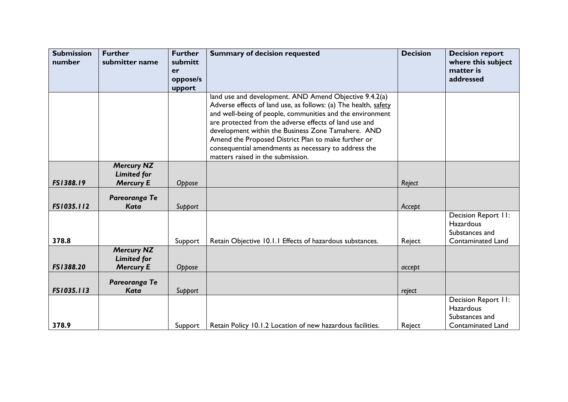| <b>Submission</b> | <b>Further</b>                                              | <b>Further</b> | <b>Summary of decision requested</b>                                                                                                                                                                                                                                                                                                                                                                                                                       | <b>Decision</b> | <b>Decision report</b>                                                         |
|-------------------|-------------------------------------------------------------|----------------|------------------------------------------------------------------------------------------------------------------------------------------------------------------------------------------------------------------------------------------------------------------------------------------------------------------------------------------------------------------------------------------------------------------------------------------------------------|-----------------|--------------------------------------------------------------------------------|
| number            | submitter name                                              | submitt<br>er  |                                                                                                                                                                                                                                                                                                                                                                                                                                                            |                 | where this subject<br>matter is                                                |
|                   |                                                             | oppose/s       |                                                                                                                                                                                                                                                                                                                                                                                                                                                            |                 | addressed                                                                      |
|                   |                                                             | upport         |                                                                                                                                                                                                                                                                                                                                                                                                                                                            |                 |                                                                                |
|                   |                                                             |                | land use and development. AND Amend Objective 9.4.2(a)<br>Adverse effects of land use, as follows: (a) The health, safety<br>and well-being of people, communities and the environment<br>are protected from the adverse effects of land use and<br>development within the Business Zone Tamahere. AND<br>Amend the Proposed District Plan to make further or<br>consequential amendments as necessary to address the<br>matters raised in the submission. |                 |                                                                                |
|                   | <b>Mercury NZ</b>                                           |                |                                                                                                                                                                                                                                                                                                                                                                                                                                                            |                 |                                                                                |
|                   | <b>Limited for</b>                                          |                |                                                                                                                                                                                                                                                                                                                                                                                                                                                            |                 |                                                                                |
| FS1388.19         | <b>Mercury E</b>                                            | Oppose         |                                                                                                                                                                                                                                                                                                                                                                                                                                                            | Reject          |                                                                                |
|                   | Pareoranga Te                                               |                |                                                                                                                                                                                                                                                                                                                                                                                                                                                            |                 |                                                                                |
| FS1035.112        | <b>Kata</b>                                                 | Support        |                                                                                                                                                                                                                                                                                                                                                                                                                                                            | Accept          |                                                                                |
| 378.8             |                                                             | Support        | Retain Objective 10.1.1 Effects of hazardous substances.                                                                                                                                                                                                                                                                                                                                                                                                   | Reject          | Decision Report II:<br>Hazardous<br>Substances and<br><b>Contaminated Land</b> |
| FS1388.20         | <b>Mercury NZ</b><br><b>Limited for</b><br><b>Mercury E</b> | Oppose         |                                                                                                                                                                                                                                                                                                                                                                                                                                                            | accept          |                                                                                |
| FS1035.113        | Pareoranga Te<br><b>Kata</b>                                | Support        |                                                                                                                                                                                                                                                                                                                                                                                                                                                            | reject          |                                                                                |
| 378.9             |                                                             | Support        | Retain Policy 10.1.2 Location of new hazardous facilities.                                                                                                                                                                                                                                                                                                                                                                                                 | Reject          | Decision Report II:<br>Hazardous<br>Substances and<br>Contaminated Land        |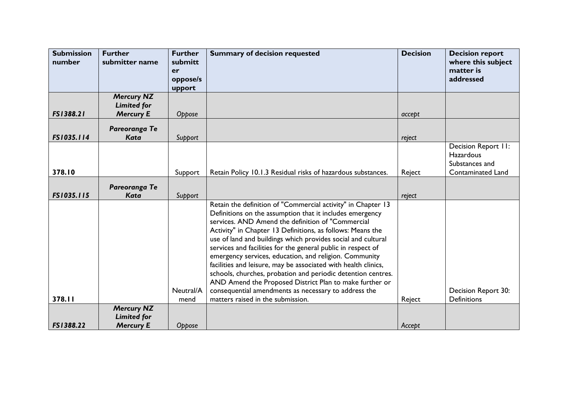| <b>Submission</b><br>number | <b>Further</b><br>submitter name                            | <b>Further</b><br>submitt<br>er<br>oppose/s | <b>Summary of decision requested</b>                                                                                                                                                                                                                                                                                                                                                                                                                                                                                                                                                                                                                                                       | <b>Decision</b> | <b>Decision report</b><br>where this subject<br>matter is<br>addressed         |
|-----------------------------|-------------------------------------------------------------|---------------------------------------------|--------------------------------------------------------------------------------------------------------------------------------------------------------------------------------------------------------------------------------------------------------------------------------------------------------------------------------------------------------------------------------------------------------------------------------------------------------------------------------------------------------------------------------------------------------------------------------------------------------------------------------------------------------------------------------------------|-----------------|--------------------------------------------------------------------------------|
|                             |                                                             | upport                                      |                                                                                                                                                                                                                                                                                                                                                                                                                                                                                                                                                                                                                                                                                            |                 |                                                                                |
| FS1388.21                   | <b>Mercury NZ</b><br><b>Limited for</b><br><b>Mercury E</b> | Oppose                                      |                                                                                                                                                                                                                                                                                                                                                                                                                                                                                                                                                                                                                                                                                            | accept          |                                                                                |
| FS1035.114                  | Pareoranga Te<br><b>Kata</b>                                | Support                                     |                                                                                                                                                                                                                                                                                                                                                                                                                                                                                                                                                                                                                                                                                            | reject          |                                                                                |
| 378.10                      |                                                             | Support                                     | Retain Policy 10.1.3 Residual risks of hazardous substances.                                                                                                                                                                                                                                                                                                                                                                                                                                                                                                                                                                                                                               | Reject          | Decision Report 11:<br>Hazardous<br>Substances and<br><b>Contaminated Land</b> |
|                             |                                                             |                                             |                                                                                                                                                                                                                                                                                                                                                                                                                                                                                                                                                                                                                                                                                            |                 |                                                                                |
|                             | Pareoranga Te                                               |                                             |                                                                                                                                                                                                                                                                                                                                                                                                                                                                                                                                                                                                                                                                                            |                 |                                                                                |
| FS1035.115                  | Kata                                                        | Support                                     |                                                                                                                                                                                                                                                                                                                                                                                                                                                                                                                                                                                                                                                                                            | reject          |                                                                                |
|                             |                                                             | Neutral/A                                   | Retain the definition of "Commercial activity" in Chapter 13<br>Definitions on the assumption that it includes emergency<br>services. AND Amend the definition of "Commercial<br>Activity" in Chapter 13 Definitions, as follows: Means the<br>use of land and buildings which provides social and cultural<br>services and facilities for the general public in respect of<br>emergency services, education, and religion. Community<br>facilities and leisure, may be associated with health clinics,<br>schools, churches, probation and periodic detention centres.<br>AND Amend the Proposed District Plan to make further or<br>consequential amendments as necessary to address the |                 | Decision Report 30:                                                            |
| 378.11                      |                                                             | mend                                        | matters raised in the submission.                                                                                                                                                                                                                                                                                                                                                                                                                                                                                                                                                                                                                                                          | Reject          | <b>Definitions</b>                                                             |
| FS1388.22                   | <b>Mercury NZ</b><br><b>Limited for</b><br><b>Mercury E</b> | Oppose                                      |                                                                                                                                                                                                                                                                                                                                                                                                                                                                                                                                                                                                                                                                                            | Accept          |                                                                                |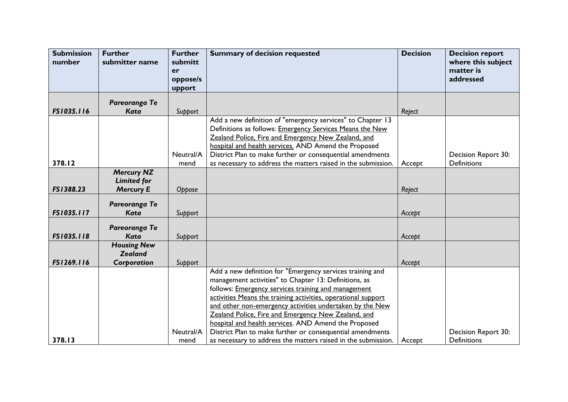| <b>Submission</b><br>number | <b>Further</b><br>submitter name       | <b>Further</b><br>submitt<br>er | <b>Summary of decision requested</b>                          | <b>Decision</b> | <b>Decision report</b><br>where this subject<br>matter is |
|-----------------------------|----------------------------------------|---------------------------------|---------------------------------------------------------------|-----------------|-----------------------------------------------------------|
|                             |                                        | oppose/s<br>upport              |                                                               |                 | addressed                                                 |
|                             | Pareoranga Te                          |                                 |                                                               |                 |                                                           |
| FS1035.116                  | <b>Kata</b>                            | Support                         |                                                               | Reject          |                                                           |
|                             |                                        |                                 | Add a new definition of "emergency services" to Chapter 13    |                 |                                                           |
|                             |                                        |                                 | Definitions as follows: Emergency Services Means the New      |                 |                                                           |
|                             |                                        |                                 | Zealand Police, Fire and Emergency New Zealand, and           |                 |                                                           |
|                             |                                        |                                 | hospital and health services. AND Amend the Proposed          |                 |                                                           |
|                             |                                        | Neutral/A                       | District Plan to make further or consequential amendments     |                 | Decision Report 30:                                       |
| 378.12                      |                                        | mend                            | as necessary to address the matters raised in the submission. | Accept          | <b>Definitions</b>                                        |
|                             | <b>Mercury NZ</b>                      |                                 |                                                               |                 |                                                           |
| FS1388.23                   | <b>Limited for</b><br><b>Mercury E</b> |                                 |                                                               |                 |                                                           |
|                             |                                        | Oppose                          |                                                               | Reject          |                                                           |
|                             | Pareoranga Te                          |                                 |                                                               |                 |                                                           |
| FS1035.117                  | <b>Kata</b>                            | Support                         |                                                               | Accept          |                                                           |
|                             |                                        |                                 |                                                               |                 |                                                           |
| FS1035.118                  | Pareoranga Te                          |                                 |                                                               |                 |                                                           |
|                             | <b>Kata</b><br><b>Housing New</b>      | Support                         |                                                               | Accept          |                                                           |
|                             | <b>Zealand</b>                         |                                 |                                                               |                 |                                                           |
| FS1269.116                  | Corporation                            | Support                         |                                                               | Accept          |                                                           |
|                             |                                        |                                 | Add a new definition for "Emergency services training and     |                 |                                                           |
|                             |                                        |                                 | management activities" to Chapter 13: Definitions, as         |                 |                                                           |
|                             |                                        |                                 | follows: Emergency services training and management           |                 |                                                           |
|                             |                                        |                                 | activities Means the training activities, operational support |                 |                                                           |
|                             |                                        |                                 | and other non-emergency activities undertaken by the New      |                 |                                                           |
|                             |                                        |                                 | Zealand Police, Fire and Emergency New Zealand, and           |                 |                                                           |
|                             |                                        |                                 | hospital and health services. AND Amend the Proposed          |                 |                                                           |
|                             |                                        | Neutral/A                       | District Plan to make further or consequential amendments     |                 | Decision Report 30:                                       |
| 378.13                      |                                        | mend                            | as necessary to address the matters raised in the submission. | Accept          | <b>Definitions</b>                                        |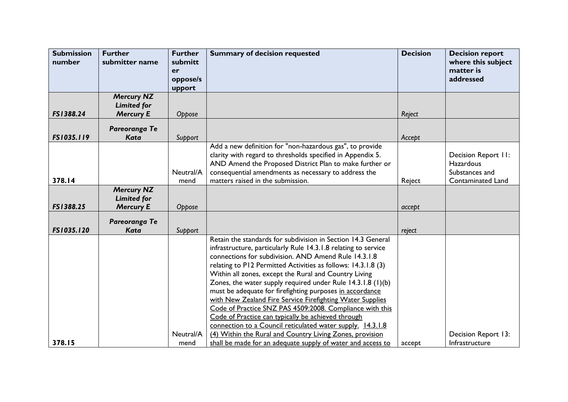| <b>Submission</b> | <b>Further</b>     | <b>Further</b>     | <b>Summary of decision requested</b>                                                                                  | <b>Decision</b> | <b>Decision report</b>           |
|-------------------|--------------------|--------------------|-----------------------------------------------------------------------------------------------------------------------|-----------------|----------------------------------|
| number            | submitter name     | submitt            |                                                                                                                       |                 | where this subject               |
|                   |                    | er                 |                                                                                                                       |                 | matter is                        |
|                   |                    | oppose/s<br>upport |                                                                                                                       |                 | addressed                        |
|                   | <b>Mercury NZ</b>  |                    |                                                                                                                       |                 |                                  |
|                   | <b>Limited for</b> |                    |                                                                                                                       |                 |                                  |
| FS1388.24         | <b>Mercury E</b>   | Oppose             |                                                                                                                       | Reject          |                                  |
|                   | Pareoranga Te      |                    |                                                                                                                       |                 |                                  |
| FS1035.119        | Kata               | Support            |                                                                                                                       | Accept          |                                  |
|                   |                    |                    | Add a new definition for "non-hazardous gas", to provide                                                              |                 |                                  |
|                   |                    |                    | clarity with regard to thresholds specified in Appendix 5.<br>AND Amend the Proposed District Plan to make further or |                 | Decision Report II:<br>Hazardous |
|                   |                    | Neutral/A          | consequential amendments as necessary to address the                                                                  |                 | Substances and                   |
| 378.14            |                    | mend               | matters raised in the submission.                                                                                     | Reject          | Contaminated Land                |
|                   | <b>Mercury NZ</b>  |                    |                                                                                                                       |                 |                                  |
|                   | <b>Limited for</b> |                    |                                                                                                                       |                 |                                  |
| FS1388.25         | <b>Mercury E</b>   | Oppose             |                                                                                                                       | accept          |                                  |
|                   | Pareoranga Te      |                    |                                                                                                                       |                 |                                  |
| FS1035.120        | <b>Kata</b>        | Support            |                                                                                                                       | reject          |                                  |
|                   |                    |                    | Retain the standards for subdivision in Section 14.3 General                                                          |                 |                                  |
|                   |                    |                    | infrastructure, particularly Rule 14.3.1.8 relating to service                                                        |                 |                                  |
|                   |                    |                    | connections for subdivision. AND Amend Rule 14.3.1.8                                                                  |                 |                                  |
|                   |                    |                    | relating to P12 Permitted Activities as follows: 14.3.1.8 (3)                                                         |                 |                                  |
|                   |                    |                    | Within all zones, except the Rural and Country Living                                                                 |                 |                                  |
|                   |                    |                    | Zones, the water supply required under Rule 14.3.1.8 (1)(b)                                                           |                 |                                  |
|                   |                    |                    | must be adequate for firefighting purposes in accordance                                                              |                 |                                  |
|                   |                    |                    | with New Zealand Fire Service Firefighting Water Supplies<br>Code of Practice SNZ PAS 4509:2008. Compliance with this |                 |                                  |
|                   |                    |                    | Code of Practice can typically be achieved through                                                                    |                 |                                  |
|                   |                    |                    | connection to a Council reticulated water supply. 14.3.1.8                                                            |                 |                                  |
|                   |                    | Neutral/A          | (4) Within the Rural and Country Living Zones, provision                                                              |                 | Decision Report 13:              |
| 378.15            |                    | mend               | shall be made for an adequate supply of water and access to                                                           | accept          | Infrastructure                   |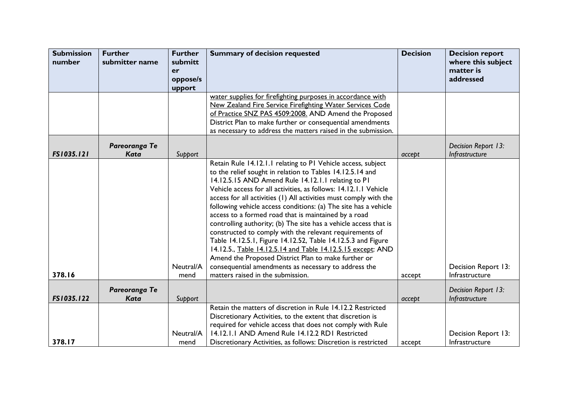| <b>Submission</b><br>number | <b>Further</b><br>submitter name | <b>Further</b><br>submitt<br>er<br>oppose/s<br>upport | <b>Summary of decision requested</b>                                                                                                                                                                                                                                                                                                                                                                                                                                                                                                                                                                                                                                                                                                                                                                                                                                  | <b>Decision</b> | <b>Decision report</b><br>where this subject<br>matter is<br>addressed |
|-----------------------------|----------------------------------|-------------------------------------------------------|-----------------------------------------------------------------------------------------------------------------------------------------------------------------------------------------------------------------------------------------------------------------------------------------------------------------------------------------------------------------------------------------------------------------------------------------------------------------------------------------------------------------------------------------------------------------------------------------------------------------------------------------------------------------------------------------------------------------------------------------------------------------------------------------------------------------------------------------------------------------------|-----------------|------------------------------------------------------------------------|
|                             |                                  |                                                       | water supplies for firefighting purposes in accordance with<br>New Zealand Fire Service Firefighting Water Services Code                                                                                                                                                                                                                                                                                                                                                                                                                                                                                                                                                                                                                                                                                                                                              |                 |                                                                        |
|                             |                                  |                                                       | of Practice SNZ PAS 4509:2008. AND Amend the Proposed                                                                                                                                                                                                                                                                                                                                                                                                                                                                                                                                                                                                                                                                                                                                                                                                                 |                 |                                                                        |
|                             |                                  |                                                       | District Plan to make further or consequential amendments                                                                                                                                                                                                                                                                                                                                                                                                                                                                                                                                                                                                                                                                                                                                                                                                             |                 |                                                                        |
|                             |                                  |                                                       | as necessary to address the matters raised in the submission.                                                                                                                                                                                                                                                                                                                                                                                                                                                                                                                                                                                                                                                                                                                                                                                                         |                 |                                                                        |
|                             | Pareoranga Te                    |                                                       |                                                                                                                                                                                                                                                                                                                                                                                                                                                                                                                                                                                                                                                                                                                                                                                                                                                                       |                 | Decision Report 13:                                                    |
| FS1035.121                  | <b>Kata</b>                      | Support                                               |                                                                                                                                                                                                                                                                                                                                                                                                                                                                                                                                                                                                                                                                                                                                                                                                                                                                       | accept          | Infrastructure                                                         |
| 378.16                      |                                  | Neutral/A<br>mend                                     | Retain Rule 14.12.1.1 relating to P1 Vehicle access, subject<br>to the relief sought in relation to Tables 14.12.5.14 and<br>14.12.5.15 AND Amend Rule 14.12.1.1 relating to P1<br>Vehicle access for all activities, as follows: 14.12.1.1 Vehicle<br>access for all activities (1) All activities must comply with the<br>following vehicle access conditions: (a) The site has a vehicle<br>access to a formed road that is maintained by a road<br>controlling authority; (b) The site has a vehicle access that is<br>constructed to comply with the relevant requirements of<br>Table 14.12.5.1, Figure 14.12.52, Table 14.12.5.3 and Figure<br>14.12.5., Table 14.12.5.14 and Table 14.12.5.15 except: AND<br>Amend the Proposed District Plan to make further or<br>consequential amendments as necessary to address the<br>matters raised in the submission. | accept          | Decision Report 13:<br>Infrastructure                                  |
|                             | Pareoranga Te                    |                                                       |                                                                                                                                                                                                                                                                                                                                                                                                                                                                                                                                                                                                                                                                                                                                                                                                                                                                       |                 | Decision Report 13:                                                    |
| FS1035.122                  | Kata                             | Support                                               |                                                                                                                                                                                                                                                                                                                                                                                                                                                                                                                                                                                                                                                                                                                                                                                                                                                                       | accept          | Infrastructure                                                         |
| 378.17                      |                                  | Neutral/A<br>mend                                     | Retain the matters of discretion in Rule 14.12.2 Restricted<br>Discretionary Activities, to the extent that discretion is<br>required for vehicle access that does not comply with Rule<br>14.12.1.1 AND Amend Rule 14.12.2 RD1 Restricted<br>Discretionary Activities, as follows: Discretion is restricted                                                                                                                                                                                                                                                                                                                                                                                                                                                                                                                                                          | accept          | Decision Report 13:<br>Infrastructure                                  |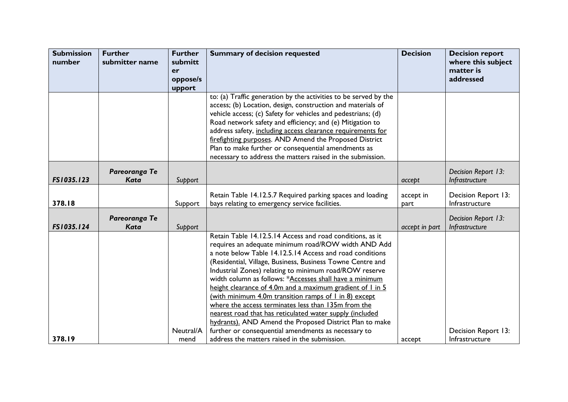| <b>Submission</b> | <b>Further</b>               | <b>Further</b>    | <b>Summary of decision requested</b>                                                                                                                                                                                                                                                                                                                                                                                                                                                                                                                                                                                                                                             | <b>Decision</b>   | <b>Decision report</b>                |
|-------------------|------------------------------|-------------------|----------------------------------------------------------------------------------------------------------------------------------------------------------------------------------------------------------------------------------------------------------------------------------------------------------------------------------------------------------------------------------------------------------------------------------------------------------------------------------------------------------------------------------------------------------------------------------------------------------------------------------------------------------------------------------|-------------------|---------------------------------------|
| number            | submitter name               | submitt<br>er     |                                                                                                                                                                                                                                                                                                                                                                                                                                                                                                                                                                                                                                                                                  |                   | where this subject<br>matter is       |
|                   |                              | oppose/s          |                                                                                                                                                                                                                                                                                                                                                                                                                                                                                                                                                                                                                                                                                  |                   | addressed                             |
|                   |                              | upport            |                                                                                                                                                                                                                                                                                                                                                                                                                                                                                                                                                                                                                                                                                  |                   |                                       |
|                   |                              |                   | to: (a) Traffic generation by the activities to be served by the<br>access; (b) Location, design, construction and materials of<br>vehicle access; (c) Safety for vehicles and pedestrians; (d)<br>Road network safety and efficiency; and (e) Mitigation to<br>address safety, including access clearance requirements for<br>firefighting purposes. AND Amend the Proposed District<br>Plan to make further or consequential amendments as<br>necessary to address the matters raised in the submission.                                                                                                                                                                       |                   |                                       |
| FS1035.123        | Pareoranga Te<br><b>Kata</b> | Support           |                                                                                                                                                                                                                                                                                                                                                                                                                                                                                                                                                                                                                                                                                  | accept            | Decision Report 13:<br>Infrastructure |
| 378.18            |                              | Support           | Retain Table 14.12.5.7 Required parking spaces and loading<br>bays relating to emergency service facilities.                                                                                                                                                                                                                                                                                                                                                                                                                                                                                                                                                                     | accept in<br>part | Decision Report 13:<br>Infrastructure |
| FS1035.124        | Pareoranga Te<br>Kata        | Support           |                                                                                                                                                                                                                                                                                                                                                                                                                                                                                                                                                                                                                                                                                  | accept in part    | Decision Report 13:<br>Infrastructure |
|                   |                              |                   | Retain Table 14.12.5.14 Access and road conditions, as it<br>requires an adequate minimum road/ROW width AND Add<br>a note below Table 14.12.5.14 Access and road conditions<br>(Residential, Village, Business, Business Towne Centre and<br>Industrial Zones) relating to minimum road/ROW reserve<br>width column as follows: *Accesses shall have a minimum<br>height clearance of 4.0m and a maximum gradient of I in 5<br>(with minimum 4.0m transition ramps of $\overline{1}$ in 8) except<br>where the access terminates less than 135m from the<br>nearest road that has reticulated water supply (included<br>hydrants). AND Amend the Proposed District Plan to make |                   |                                       |
| 378.19            |                              | Neutral/A<br>mend | further or consequential amendments as necessary to<br>address the matters raised in the submission.                                                                                                                                                                                                                                                                                                                                                                                                                                                                                                                                                                             | accept            | Decision Report 13:<br>Infrastructure |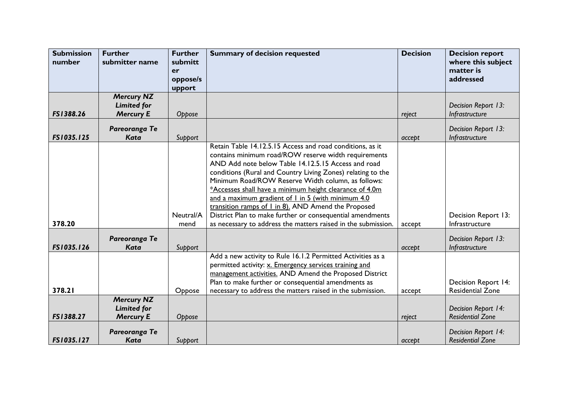| <b>Submission</b><br>number | <b>Further</b><br>submitter name                            | <b>Further</b><br>submitt<br>er<br>oppose/s<br>upport | <b>Summary of decision requested</b>                                                                                                                                                                                                                                                                                                                                                                                                                                                                                                                                                                | <b>Decision</b> | <b>Decision report</b><br>where this subject<br>matter is<br>addressed |
|-----------------------------|-------------------------------------------------------------|-------------------------------------------------------|-----------------------------------------------------------------------------------------------------------------------------------------------------------------------------------------------------------------------------------------------------------------------------------------------------------------------------------------------------------------------------------------------------------------------------------------------------------------------------------------------------------------------------------------------------------------------------------------------------|-----------------|------------------------------------------------------------------------|
|                             | <b>Mercury NZ</b>                                           |                                                       |                                                                                                                                                                                                                                                                                                                                                                                                                                                                                                                                                                                                     |                 |                                                                        |
| FS1388.26                   | <b>Limited for</b><br><b>Mercury E</b>                      | Oppose                                                |                                                                                                                                                                                                                                                                                                                                                                                                                                                                                                                                                                                                     | reject          | Decision Report 13:<br>Infrastructure                                  |
|                             |                                                             |                                                       |                                                                                                                                                                                                                                                                                                                                                                                                                                                                                                                                                                                                     |                 |                                                                        |
| FS1035.125                  | Pareoranga Te<br><b>Kata</b>                                | Support                                               |                                                                                                                                                                                                                                                                                                                                                                                                                                                                                                                                                                                                     | accept          | Decision Report 13:<br>Infrastructure                                  |
| 378.20                      |                                                             | Neutral/A<br>mend                                     | Retain Table 14.12.5.15 Access and road conditions, as it<br>contains minimum road/ROW reserve width requirements<br>AND Add note below Table 14.12.5.15 Access and road<br>conditions (Rural and Country Living Zones) relating to the<br>Minimum Road/ROW Reserve Width column, as follows:<br>*Accesses shall have a minimum height clearance of 4.0m<br>and a maximum gradient of 1 in 5 (with minimum 4.0<br>transition ramps of 1 in 8). AND Amend the Proposed<br>District Plan to make further or consequential amendments<br>as necessary to address the matters raised in the submission. | accept          | Decision Report 13:<br>Infrastructure                                  |
| FS1035.126                  | Pareoranga Te<br><b>Kata</b>                                | Support                                               |                                                                                                                                                                                                                                                                                                                                                                                                                                                                                                                                                                                                     | accept          | Decision Report 13:<br>Infrastructure                                  |
| 378.21                      |                                                             | Oppose                                                | Add a new activity to Rule 16.1.2 Permitted Activities as a<br>permitted activity: x. Emergency services training and<br>management activities. AND Amend the Proposed District<br>Plan to make further or consequential amendments as<br>necessary to address the matters raised in the submission.                                                                                                                                                                                                                                                                                                | accept          | <b>Decision Report 14:</b><br><b>Residential Zone</b>                  |
| FS1388.27                   | <b>Mercury NZ</b><br><b>Limited for</b><br><b>Mercury E</b> | Oppose                                                |                                                                                                                                                                                                                                                                                                                                                                                                                                                                                                                                                                                                     | reject          | Decision Report 14:<br><b>Residential Zone</b>                         |
| FS1035.127                  | Pareoranga Te<br><b>Kata</b>                                | Support                                               |                                                                                                                                                                                                                                                                                                                                                                                                                                                                                                                                                                                                     | accept          | Decision Report 14:<br><b>Residential Zone</b>                         |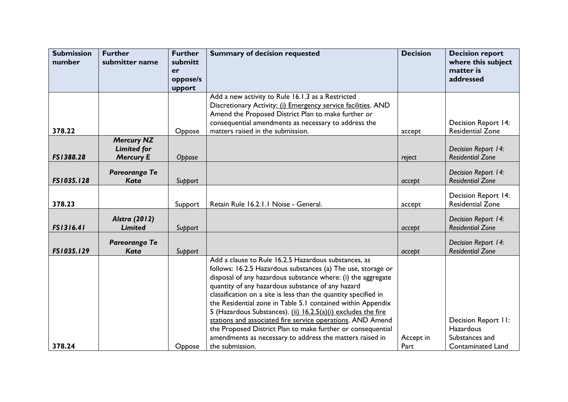| <b>Submission</b> | <b>Further</b>                          | <b>Further</b> | <b>Summary of decision requested</b>                            | <b>Decision</b> | <b>Decision report</b>                                |
|-------------------|-----------------------------------------|----------------|-----------------------------------------------------------------|-----------------|-------------------------------------------------------|
| number            | submitter name                          | submitt        |                                                                 |                 | where this subject                                    |
|                   |                                         | er             |                                                                 |                 | matter is                                             |
|                   |                                         | oppose/s       |                                                                 |                 | addressed                                             |
|                   |                                         | upport         |                                                                 |                 |                                                       |
|                   |                                         |                | Add a new activity to Rule 16.1.3 as a Restricted               |                 |                                                       |
|                   |                                         |                | Discretionary Activity: (i) Emergency service facilities. AND   |                 |                                                       |
|                   |                                         |                | Amend the Proposed District Plan to make further or             |                 |                                                       |
|                   |                                         |                | consequential amendments as necessary to address the            |                 | Decision Report 14:                                   |
| 378.22            |                                         | Oppose         | matters raised in the submission.                               | accept          | <b>Residential Zone</b>                               |
|                   | <b>Mercury NZ</b><br><b>Limited for</b> |                |                                                                 |                 |                                                       |
| FS1388.28         | <b>Mercury E</b>                        | Oppose         |                                                                 | reject          | Decision Report 14:<br><b>Residential Zone</b>        |
|                   |                                         |                |                                                                 |                 |                                                       |
|                   | Pareoranga Te                           |                |                                                                 |                 | Decision Report 14:                                   |
| FS1035.128        | <b>Kata</b>                             | Support        |                                                                 | accept          | <b>Residential Zone</b>                               |
|                   |                                         |                |                                                                 |                 |                                                       |
| 378.23            |                                         | Support        | Retain Rule 16.2.1.1 Noise - General.                           |                 | <b>Decision Report 14:</b><br><b>Residential Zone</b> |
|                   |                                         |                |                                                                 | accept          |                                                       |
|                   | <b>Alstra (2012)</b>                    |                |                                                                 |                 | Decision Report 14:                                   |
| FS1316.41         | <b>Limited</b>                          | Support        |                                                                 | accept          | <b>Residential Zone</b>                               |
|                   |                                         |                |                                                                 |                 |                                                       |
| FS1035.129        | Pareoranga Te<br><b>Kata</b>            |                |                                                                 |                 | Decision Report 14:<br><b>Residential Zone</b>        |
|                   |                                         | Support        | Add a clause to Rule 16.2.5 Hazardous substances, as            | accept          |                                                       |
|                   |                                         |                | follows: 16.2.5 Hazardous substances (a) The use, storage or    |                 |                                                       |
|                   |                                         |                | disposal of any hazardous substance where: (i) the aggregate    |                 |                                                       |
|                   |                                         |                | quantity of any hazardous substance of any hazard               |                 |                                                       |
|                   |                                         |                | classification on a site is less than the quantity specified in |                 |                                                       |
|                   |                                         |                | the Residential zone in Table 5.1 contained within Appendix     |                 |                                                       |
|                   |                                         |                | 5 (Hazardous Substances). (ii) 16.2.5(a)(i) excludes the fire   |                 |                                                       |
|                   |                                         |                | stations and associated fire service operations. AND Amend      |                 | Decision Report II:                                   |
|                   |                                         |                | the Proposed District Plan to make further or consequential     |                 | <b>Hazardous</b>                                      |
|                   |                                         |                | amendments as necessary to address the matters raised in        | Accept in       | Substances and                                        |
| 378.24            |                                         | Oppose         | the submission.                                                 | Part            | <b>Contaminated Land</b>                              |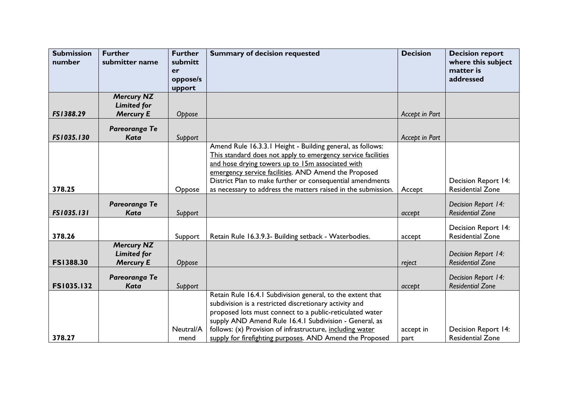| <b>Submission</b><br>number | <b>Further</b><br>submitter name                            | <b>Further</b><br>submitt<br>er<br>oppose/s | <b>Summary of decision requested</b>                                                                                                                                                                                                                                                                                                                                | <b>Decision</b>   | <b>Decision report</b><br>where this subject<br>matter is<br>addressed |
|-----------------------------|-------------------------------------------------------------|---------------------------------------------|---------------------------------------------------------------------------------------------------------------------------------------------------------------------------------------------------------------------------------------------------------------------------------------------------------------------------------------------------------------------|-------------------|------------------------------------------------------------------------|
|                             |                                                             | upport                                      |                                                                                                                                                                                                                                                                                                                                                                     |                   |                                                                        |
|                             | <b>Mercury NZ</b>                                           |                                             |                                                                                                                                                                                                                                                                                                                                                                     |                   |                                                                        |
|                             | <b>Limited for</b>                                          |                                             |                                                                                                                                                                                                                                                                                                                                                                     |                   |                                                                        |
| FS1388.29                   | <b>Mercury E</b>                                            | Oppose                                      |                                                                                                                                                                                                                                                                                                                                                                     | Accept in Part    |                                                                        |
| FS1035.130                  | Pareoranga Te<br><b>Kata</b>                                | Support                                     |                                                                                                                                                                                                                                                                                                                                                                     | Accept in Part    |                                                                        |
|                             |                                                             |                                             | Amend Rule 16.3.3.1 Height - Building general, as follows:<br>This standard does not apply to emergency service facilities<br>and hose drying towers up to 15m associated with<br>emergency service facilities. AND Amend the Proposed<br>District Plan to make further or consequential amendments                                                                 |                   | <b>Decision Report 14:</b>                                             |
| 378.25                      |                                                             | Oppose                                      | as necessary to address the matters raised in the submission.                                                                                                                                                                                                                                                                                                       | Accept            | <b>Residential Zone</b>                                                |
| FS1035.131                  | Pareoranga Te<br><b>Kata</b>                                | Support                                     |                                                                                                                                                                                                                                                                                                                                                                     | accept            | Decision Report 14:<br><b>Residential Zone</b>                         |
| 378.26                      |                                                             | Support                                     | Retain Rule 16.3.9.3- Building setback - Waterbodies.                                                                                                                                                                                                                                                                                                               | accept            | Decision Report 14:<br><b>Residential Zone</b>                         |
| <b>FS1388.30</b>            | <b>Mercury NZ</b><br><b>Limited for</b><br><b>Mercury E</b> | Oppose                                      |                                                                                                                                                                                                                                                                                                                                                                     | reject            | Decision Report 14:<br><b>Residential Zone</b>                         |
| FS1035.132                  | Pareoranga Te<br><b>Kata</b>                                | Support                                     |                                                                                                                                                                                                                                                                                                                                                                     | accept            | Decision Report 14:<br><b>Residential Zone</b>                         |
| 378.27                      |                                                             | Neutral/A<br>mend                           | Retain Rule 16.4.1 Subdivision general, to the extent that<br>subdivision is a restricted discretionary activity and<br>proposed lots must connect to a public-reticulated water<br>supply AND Amend Rule 16.4.1 Subdivision - General, as<br>follows: (x) Provision of infrastructure, including water<br>supply for firefighting purposes. AND Amend the Proposed | accept in<br>part | Decision Report 14:<br><b>Residential Zone</b>                         |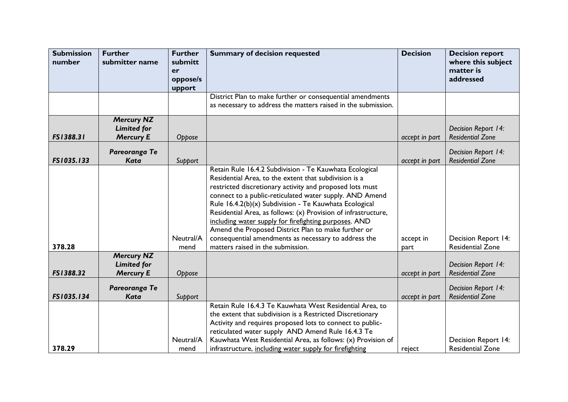| <b>Submission</b><br>number | <b>Further</b><br>submitter name                            | <b>Further</b><br>submitt<br>er<br>oppose/s<br>upport | <b>Summary of decision requested</b>                                                                                                                                                                                                                                                                                                                                                                                                                                                                                                                                             | <b>Decision</b>   | <b>Decision report</b><br>where this subject<br>matter is<br>addressed |
|-----------------------------|-------------------------------------------------------------|-------------------------------------------------------|----------------------------------------------------------------------------------------------------------------------------------------------------------------------------------------------------------------------------------------------------------------------------------------------------------------------------------------------------------------------------------------------------------------------------------------------------------------------------------------------------------------------------------------------------------------------------------|-------------------|------------------------------------------------------------------------|
|                             |                                                             |                                                       | District Plan to make further or consequential amendments<br>as necessary to address the matters raised in the submission.                                                                                                                                                                                                                                                                                                                                                                                                                                                       |                   |                                                                        |
| FS1388.31                   | <b>Mercury NZ</b><br><b>Limited for</b><br><b>Mercury E</b> | Oppose                                                |                                                                                                                                                                                                                                                                                                                                                                                                                                                                                                                                                                                  | accept in part    | Decision Report 14:<br><b>Residential Zone</b>                         |
| FS1035.133                  | Pareoranga Te<br><b>Kata</b>                                | Support                                               |                                                                                                                                                                                                                                                                                                                                                                                                                                                                                                                                                                                  | accept in part    | Decision Report 14:<br><b>Residential Zone</b>                         |
| 378.28                      |                                                             | Neutral/A<br>mend                                     | Retain Rule 16.4.2 Subdivision - Te Kauwhata Ecological<br>Residential Area, to the extent that subdivision is a<br>restricted discretionary activity and proposed lots must<br>connect to a public-reticulated water supply. AND Amend<br>Rule 16.4.2(b)(x) Subdivision - Te Kauwhata Ecological<br>Residential Area, as follows: (x) Provision of infrastructure,<br>including water supply for firefighting purposes. AND<br>Amend the Proposed District Plan to make further or<br>consequential amendments as necessary to address the<br>matters raised in the submission. | accept in<br>part | Decision Report 14:<br><b>Residential Zone</b>                         |
| FS1388.32                   | <b>Mercury NZ</b><br><b>Limited for</b><br><b>Mercury E</b> | Oppose                                                |                                                                                                                                                                                                                                                                                                                                                                                                                                                                                                                                                                                  | accept in part    | Decision Report 14:<br><b>Residential Zone</b>                         |
| FS1035.134                  | Pareoranga Te<br><b>Kata</b>                                | Support                                               |                                                                                                                                                                                                                                                                                                                                                                                                                                                                                                                                                                                  | accept in part    | Decision Report 14:<br><b>Residential Zone</b>                         |
| 378.29                      |                                                             | Neutral/A<br>mend                                     | Retain Rule 16.4.3 Te Kauwhata West Residential Area, to<br>the extent that subdivision is a Restricted Discretionary<br>Activity and requires proposed lots to connect to public-<br>reticulated water supply AND Amend Rule 16.4.3 Te<br>Kauwhata West Residential Area, as follows: (x) Provision of<br>infrastructure, including water supply for firefighting                                                                                                                                                                                                               | reject            | <b>Decision Report 14:</b><br><b>Residential Zone</b>                  |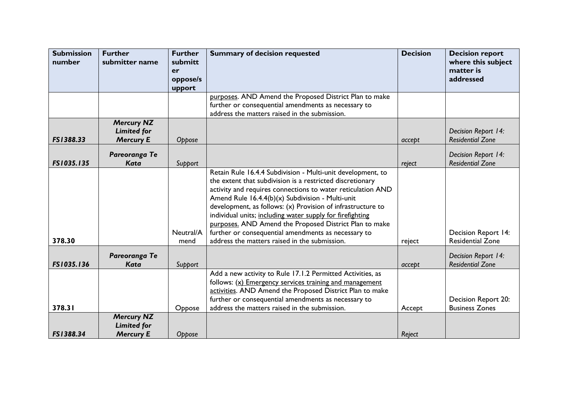| <b>Submission</b><br>number | <b>Further</b><br>submitter name        | <b>Further</b><br>submitt | <b>Summary of decision requested</b>                        | <b>Decision</b> | <b>Decision report</b><br>where this subject   |
|-----------------------------|-----------------------------------------|---------------------------|-------------------------------------------------------------|-----------------|------------------------------------------------|
|                             |                                         | er                        |                                                             |                 | matter is                                      |
|                             |                                         | oppose/s                  |                                                             |                 | addressed                                      |
|                             |                                         | upport                    |                                                             |                 |                                                |
|                             |                                         |                           | purposes. AND Amend the Proposed District Plan to make      |                 |                                                |
|                             |                                         |                           | further or consequential amendments as necessary to         |                 |                                                |
|                             |                                         |                           | address the matters raised in the submission.               |                 |                                                |
|                             | <b>Mercury NZ</b><br><b>Limited for</b> |                           |                                                             |                 | Decision Report 14:                            |
| FS1388.33                   | <b>Mercury E</b>                        | Oppose                    |                                                             | accept          | <b>Residential Zone</b>                        |
|                             |                                         |                           |                                                             |                 |                                                |
| FS1035.135                  | Pareoranga Te<br><b>Kata</b>            |                           |                                                             |                 | Decision Report 14:<br><b>Residential Zone</b> |
|                             |                                         | Support                   | Retain Rule 16.4.4 Subdivision - Multi-unit development, to | reject          |                                                |
|                             |                                         |                           | the extent that subdivision is a restricted discretionary   |                 |                                                |
|                             |                                         |                           | activity and requires connections to water reticulation AND |                 |                                                |
|                             |                                         |                           | Amend Rule 16.4.4(b)(x) Subdivision - Multi-unit            |                 |                                                |
|                             |                                         |                           | development, as follows: (x) Provision of infrastructure to |                 |                                                |
|                             |                                         |                           | individual units; including water supply for firefighting   |                 |                                                |
|                             |                                         |                           | purposes. AND Amend the Proposed District Plan to make      |                 |                                                |
|                             |                                         | Neutral/A                 | further or consequential amendments as necessary to         |                 | <b>Decision Report 14:</b>                     |
| 378.30                      |                                         | mend                      | address the matters raised in the submission.               | reject          | <b>Residential Zone</b>                        |
|                             |                                         |                           |                                                             |                 |                                                |
| FS1035.136                  | Pareoranga Te<br>Kata                   |                           |                                                             | accept          | Decision Report 14:<br><b>Residential Zone</b> |
|                             |                                         | Support                   | Add a new activity to Rule 17.1.2 Permitted Activities, as  |                 |                                                |
|                             |                                         |                           | follows: (x) Emergency services training and management     |                 |                                                |
|                             |                                         |                           | activities. AND Amend the Proposed District Plan to make    |                 |                                                |
|                             |                                         |                           | further or consequential amendments as necessary to         |                 | Decision Report 20:                            |
| 378.31                      |                                         | Oppose                    | address the matters raised in the submission.               | Accept          | <b>Business Zones</b>                          |
|                             | <b>Mercury NZ</b>                       |                           |                                                             |                 |                                                |
|                             | <b>Limited for</b>                      |                           |                                                             |                 |                                                |
| FS1388.34                   | <b>Mercury E</b>                        | Oppose                    |                                                             | Reject          |                                                |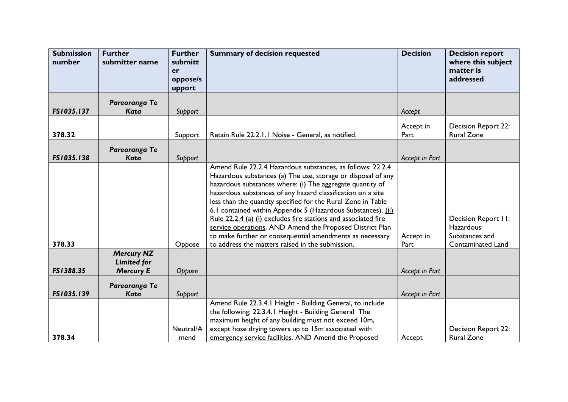| <b>Submission</b><br>number | <b>Further</b><br>submitter name                            | <b>Further</b><br>submitt<br>er<br>oppose/s<br>upport | <b>Summary of decision requested</b>                                                                                                                                                                                                                                                                                                                                                                                                                                                                                                                                                                                                 | <b>Decision</b>   | <b>Decision report</b><br>where this subject<br>matter is<br>addressed                |
|-----------------------------|-------------------------------------------------------------|-------------------------------------------------------|--------------------------------------------------------------------------------------------------------------------------------------------------------------------------------------------------------------------------------------------------------------------------------------------------------------------------------------------------------------------------------------------------------------------------------------------------------------------------------------------------------------------------------------------------------------------------------------------------------------------------------------|-------------------|---------------------------------------------------------------------------------------|
| FS1035.137                  | Pareoranga Te<br><b>Kata</b>                                | Support                                               |                                                                                                                                                                                                                                                                                                                                                                                                                                                                                                                                                                                                                                      | Accept            |                                                                                       |
| 378.32                      |                                                             | Support                                               | Retain Rule 22.2.1.1 Noise - General, as notified.                                                                                                                                                                                                                                                                                                                                                                                                                                                                                                                                                                                   | Accept in<br>Part | Decision Report 22:<br><b>Rural Zone</b>                                              |
| FS1035.138                  | Pareoranga Te<br>Kata                                       | Support                                               |                                                                                                                                                                                                                                                                                                                                                                                                                                                                                                                                                                                                                                      | Accept in Part    |                                                                                       |
| 378.33                      |                                                             | Oppose                                                | Amend Rule 22.2.4 Hazardous substances, as follows: 22.2.4<br>Hazardous substances (a) The use, storage or disposal of any<br>hazardous substances where: (i) The aggregate quantity of<br>hazardous substances of any hazard classification on a site<br>less than the quantity specified for the Rural Zone in Table<br>6.1 contained within Appendix 5 (Hazardous Substances). (ii)<br>Rule 22.2.4 (a) (i) excludes fire stations and associated fire<br>service operations. AND Amend the Proposed District Plan<br>to make further or consequential amendments as necessary<br>to address the matters raised in the submission. | Accept in<br>Part | Decision Report II:<br><b>Hazardous</b><br>Substances and<br><b>Contaminated Land</b> |
| FS1388.35                   | <b>Mercury NZ</b><br><b>Limited for</b><br><b>Mercury E</b> | Oppose                                                |                                                                                                                                                                                                                                                                                                                                                                                                                                                                                                                                                                                                                                      | Accept in Part    |                                                                                       |
| FS1035.139                  | Pareoranga Te<br><b>Kata</b>                                | Support                                               |                                                                                                                                                                                                                                                                                                                                                                                                                                                                                                                                                                                                                                      | Accept in Part    |                                                                                       |
| 378.34                      |                                                             | Neutral/A<br>mend                                     | Amend Rule 22.3.4.1 Height - Building General, to include<br>the following: 22.3.4.1 Height - Building General The<br>maximum height of any building must not exceed 10m,<br>except hose drying towers up to 15m associated with<br>emergency service facilities. AND Amend the Proposed                                                                                                                                                                                                                                                                                                                                             | Accept            | Decision Report 22:<br><b>Rural Zone</b>                                              |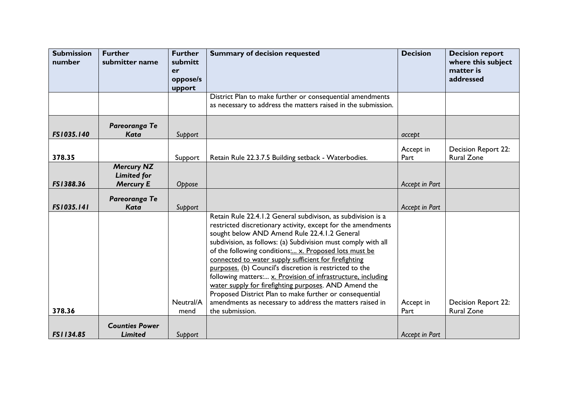| <b>Submission</b><br>number | <b>Further</b><br>submitter name                            | <b>Further</b><br>submitt<br>er | <b>Summary of decision requested</b>                                                                                                                                                                                                                                                                                                                                                                                                                                                                                                                                                                                                                                                          | <b>Decision</b>   | <b>Decision report</b><br>where this subject<br>matter is |
|-----------------------------|-------------------------------------------------------------|---------------------------------|-----------------------------------------------------------------------------------------------------------------------------------------------------------------------------------------------------------------------------------------------------------------------------------------------------------------------------------------------------------------------------------------------------------------------------------------------------------------------------------------------------------------------------------------------------------------------------------------------------------------------------------------------------------------------------------------------|-------------------|-----------------------------------------------------------|
|                             |                                                             | oppose/s<br>upport              |                                                                                                                                                                                                                                                                                                                                                                                                                                                                                                                                                                                                                                                                                               |                   | addressed                                                 |
|                             |                                                             |                                 | District Plan to make further or consequential amendments<br>as necessary to address the matters raised in the submission.                                                                                                                                                                                                                                                                                                                                                                                                                                                                                                                                                                    |                   |                                                           |
| FS1035.140                  | Pareoranga Te<br><b>Kata</b>                                | Support                         |                                                                                                                                                                                                                                                                                                                                                                                                                                                                                                                                                                                                                                                                                               | accept            |                                                           |
| 378.35                      |                                                             | Support                         | Retain Rule 22.3.7.5 Building setback - Waterbodies.                                                                                                                                                                                                                                                                                                                                                                                                                                                                                                                                                                                                                                          | Accept in<br>Part | <b>Decision Report 22:</b><br><b>Rural Zone</b>           |
| FS1388.36                   | <b>Mercury NZ</b><br><b>Limited for</b><br><b>Mercury E</b> | Oppose                          |                                                                                                                                                                                                                                                                                                                                                                                                                                                                                                                                                                                                                                                                                               | Accept in Part    |                                                           |
| FS1035.141                  | Pareoranga Te<br><b>Kata</b>                                | Support                         |                                                                                                                                                                                                                                                                                                                                                                                                                                                                                                                                                                                                                                                                                               | Accept in Part    |                                                           |
| 378.36                      |                                                             | Neutral/A<br>mend               | Retain Rule 22.4.1.2 General subdivison, as subdivision is a<br>restricted discretionary activity, except for the amendments<br>sought below AND Amend Rule 22.4.1.2 General<br>subdivision, as follows: (a) Subdivision must comply with all<br>of the following conditions: x. Proposed lots must be<br>connected to water supply sufficient for firefighting<br>purposes. (b) Council's discretion is restricted to the<br>following matters: x. Provision of infrastructure, including<br>water supply for firefighting purposes. AND Amend the<br>Proposed District Plan to make further or consequential<br>amendments as necessary to address the matters raised in<br>the submission. | Accept in<br>Part | Decision Report 22:<br><b>Rural Zone</b>                  |
| FS1134.85                   | <b>Counties Power</b><br>Limited                            | Support                         |                                                                                                                                                                                                                                                                                                                                                                                                                                                                                                                                                                                                                                                                                               | Accept in Part    |                                                           |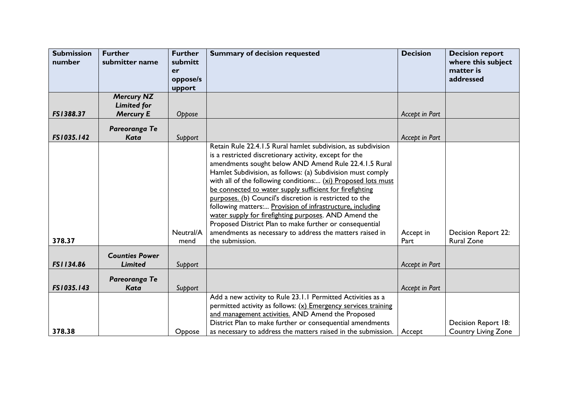| <b>Submission</b><br>number | <b>Further</b><br>submitter name        | <b>Further</b><br>submitt<br>er<br>oppose/s<br>upport | <b>Summary of decision requested</b>                                                                                                                                                                                                                                                                                                                                                                                                                                                                                                                                                                                                                                                                    | <b>Decision</b>   | <b>Decision report</b><br>where this subject<br>matter is<br>addressed |
|-----------------------------|-----------------------------------------|-------------------------------------------------------|---------------------------------------------------------------------------------------------------------------------------------------------------------------------------------------------------------------------------------------------------------------------------------------------------------------------------------------------------------------------------------------------------------------------------------------------------------------------------------------------------------------------------------------------------------------------------------------------------------------------------------------------------------------------------------------------------------|-------------------|------------------------------------------------------------------------|
|                             | <b>Mercury NZ</b><br><b>Limited for</b> |                                                       |                                                                                                                                                                                                                                                                                                                                                                                                                                                                                                                                                                                                                                                                                                         |                   |                                                                        |
| FS1388.37                   | <b>Mercury E</b>                        | Oppose                                                |                                                                                                                                                                                                                                                                                                                                                                                                                                                                                                                                                                                                                                                                                                         | Accept in Part    |                                                                        |
| FS1035.142                  | Pareoranga Te<br><b>Kata</b>            | Support                                               |                                                                                                                                                                                                                                                                                                                                                                                                                                                                                                                                                                                                                                                                                                         | Accept in Part    |                                                                        |
| 378.37                      |                                         | Neutral/A<br>mend                                     | Retain Rule 22.4.1.5 Rural hamlet subdivision, as subdivision<br>is a restricted discretionary activity, except for the<br>amendments sought below AND Amend Rule 22.4.1.5 Rural<br>Hamlet Subdivision, as follows: (a) Subdivision must comply<br>with all of the following conditions: (xi) Proposed lots must<br>be connected to water supply sufficient for firefighting<br>purposes. (b) Council's discretion is restricted to the<br>following matters: Provision of infrastructure, including<br>water supply for firefighting purposes. AND Amend the<br>Proposed District Plan to make further or consequential<br>amendments as necessary to address the matters raised in<br>the submission. | Accept in<br>Part | <b>Decision Report 22:</b><br><b>Rural Zone</b>                        |
| FS1134.86                   | <b>Counties Power</b><br>Limited        | Support                                               |                                                                                                                                                                                                                                                                                                                                                                                                                                                                                                                                                                                                                                                                                                         | Accept in Part    |                                                                        |
| FS1035.143                  | Pareoranga Te<br><b>Kata</b>            | Support                                               |                                                                                                                                                                                                                                                                                                                                                                                                                                                                                                                                                                                                                                                                                                         | Accept in Part    |                                                                        |
| 378.38                      |                                         | Oppose                                                | Add a new activity to Rule 23.1.1 Permitted Activities as a<br>permitted activity as follows: $(x)$ Emergency services training<br>and management activities. AND Amend the Proposed<br>District Plan to make further or consequential amendments<br>as necessary to address the matters raised in the submission.                                                                                                                                                                                                                                                                                                                                                                                      | Accept            | Decision Report 18:<br><b>Country Living Zone</b>                      |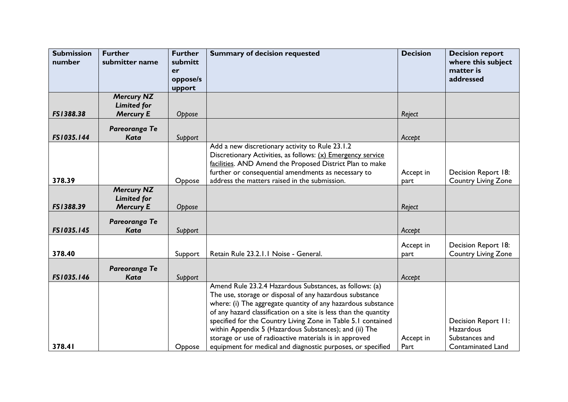| <b>Submission</b><br>number | <b>Further</b><br>submitter name                            | <b>Further</b><br>submitt<br>er | <b>Summary of decision requested</b>                                                                                                                                                                                                                                                                                                                                                                                                                                                                      | <b>Decision</b>   | <b>Decision report</b><br>where this subject<br>matter is                             |
|-----------------------------|-------------------------------------------------------------|---------------------------------|-----------------------------------------------------------------------------------------------------------------------------------------------------------------------------------------------------------------------------------------------------------------------------------------------------------------------------------------------------------------------------------------------------------------------------------------------------------------------------------------------------------|-------------------|---------------------------------------------------------------------------------------|
|                             |                                                             | oppose/s<br>upport              |                                                                                                                                                                                                                                                                                                                                                                                                                                                                                                           |                   | addressed                                                                             |
|                             | <b>Mercury NZ</b><br><b>Limited for</b>                     |                                 |                                                                                                                                                                                                                                                                                                                                                                                                                                                                                                           |                   |                                                                                       |
| FS1388.38                   | <b>Mercury E</b>                                            | Oppose                          |                                                                                                                                                                                                                                                                                                                                                                                                                                                                                                           | Reject            |                                                                                       |
| FS1035.144                  | Pareoranga Te<br><b>Kata</b>                                | Support                         |                                                                                                                                                                                                                                                                                                                                                                                                                                                                                                           | Accept            |                                                                                       |
| 378.39                      |                                                             |                                 | Add a new discretionary activity to Rule 23.1.2<br>Discretionary Activities, as follows: (x) Emergency service<br>facilities. AND Amend the Proposed District Plan to make<br>further or consequential amendments as necessary to                                                                                                                                                                                                                                                                         | Accept in         | Decision Report 18:                                                                   |
| FS1388.39                   | <b>Mercury NZ</b><br><b>Limited for</b><br><b>Mercury E</b> | Oppose<br>Oppose                | address the matters raised in the submission.                                                                                                                                                                                                                                                                                                                                                                                                                                                             | part<br>Reject    | <b>Country Living Zone</b>                                                            |
| FS1035.145                  | Pareoranga Te<br><b>Kata</b>                                | Support                         |                                                                                                                                                                                                                                                                                                                                                                                                                                                                                                           | Accept            |                                                                                       |
| 378.40                      |                                                             | Support                         | Retain Rule 23.2.1.1 Noise - General.                                                                                                                                                                                                                                                                                                                                                                                                                                                                     | Accept in<br>part | Decision Report 18:<br><b>Country Living Zone</b>                                     |
| FS1035.146                  | Pareoranga Te<br><b>Kata</b>                                | Support                         |                                                                                                                                                                                                                                                                                                                                                                                                                                                                                                           | Accept            |                                                                                       |
| 378.41                      |                                                             | Oppose                          | Amend Rule 23.2.4 Hazardous Substances, as follows: (a)<br>The use, storage or disposal of any hazardous substance<br>where: (i) The aggregate quantity of any hazardous substance<br>of any hazard classification on a site is less than the quantity<br>specified for the Country Living Zone in Table 5.1 contained<br>within Appendix 5 (Hazardous Substances); and (ii) The<br>storage or use of radioactive materials is in approved<br>equipment for medical and diagnostic purposes, or specified | Accept in<br>Part | Decision Report II:<br><b>Hazardous</b><br>Substances and<br><b>Contaminated Land</b> |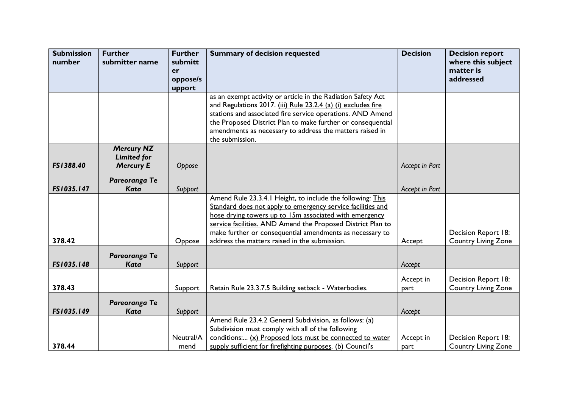| <b>Submission</b><br>number | <b>Further</b><br>submitter name | <b>Further</b><br>submitt | <b>Summary of decision requested</b>                                                                                        | <b>Decision</b> | <b>Decision report</b><br>where this subject      |
|-----------------------------|----------------------------------|---------------------------|-----------------------------------------------------------------------------------------------------------------------------|-----------------|---------------------------------------------------|
|                             |                                  | er                        |                                                                                                                             |                 | matter is                                         |
|                             |                                  | oppose/s                  |                                                                                                                             |                 | addressed                                         |
|                             |                                  | upport                    |                                                                                                                             |                 |                                                   |
|                             |                                  |                           | as an exempt activity or article in the Radiation Safety Act                                                                |                 |                                                   |
|                             |                                  |                           | and Regulations 2017. (iii) Rule 23.2.4 (a) (i) excludes fire<br>stations and associated fire service operations. AND Amend |                 |                                                   |
|                             |                                  |                           | the Proposed District Plan to make further or consequential                                                                 |                 |                                                   |
|                             |                                  |                           | amendments as necessary to address the matters raised in                                                                    |                 |                                                   |
|                             |                                  |                           | the submission.                                                                                                             |                 |                                                   |
|                             | <b>Mercury NZ</b>                |                           |                                                                                                                             |                 |                                                   |
|                             | <b>Limited for</b>               |                           |                                                                                                                             |                 |                                                   |
| FS1388.40                   | <b>Mercury E</b>                 | Oppose                    |                                                                                                                             | Accept in Part  |                                                   |
|                             | Pareoranga Te                    |                           |                                                                                                                             |                 |                                                   |
| FS1035.147                  | Kata                             | Support                   |                                                                                                                             | Accept in Part  |                                                   |
|                             |                                  |                           | Amend Rule 23.3.4.1 Height, to include the following: This                                                                  |                 |                                                   |
|                             |                                  |                           | Standard does not apply to emergency service facilities and                                                                 |                 |                                                   |
|                             |                                  |                           | hose drying towers up to 15m associated with emergency                                                                      |                 |                                                   |
|                             |                                  |                           | service facilities. AND Amend the Proposed District Plan to                                                                 |                 |                                                   |
| 378.42                      |                                  | Oppose                    | make further or consequential amendments as necessary to<br>address the matters raised in the submission.                   | Accept          | Decision Report 18:<br><b>Country Living Zone</b> |
|                             |                                  |                           |                                                                                                                             |                 |                                                   |
|                             | Pareoranga Te                    |                           |                                                                                                                             |                 |                                                   |
| FS1035.148                  | Kata                             | Support                   |                                                                                                                             | Accept          |                                                   |
|                             |                                  |                           |                                                                                                                             | Accept in       | Decision Report 18:                               |
| 378.43                      |                                  | Support                   | Retain Rule 23.3.7.5 Building setback - Waterbodies.                                                                        | part            | <b>Country Living Zone</b>                        |
|                             |                                  |                           |                                                                                                                             |                 |                                                   |
|                             | Pareoranga Te                    |                           |                                                                                                                             |                 |                                                   |
| FS1035.149                  | <b>Kata</b>                      | Support                   | Amend Rule 23.4.2 General Subdivision, as follows: (a)                                                                      | Accept          |                                                   |
|                             |                                  |                           | Subdivision must comply with all of the following                                                                           |                 |                                                   |
|                             |                                  | Neutral/A                 | conditions: (x) Proposed lots must be connected to water                                                                    | Accept in       | Decision Report 18:                               |
| 378.44                      |                                  | mend                      | supply sufficient for firefighting purposes. (b) Council's                                                                  | part            | <b>Country Living Zone</b>                        |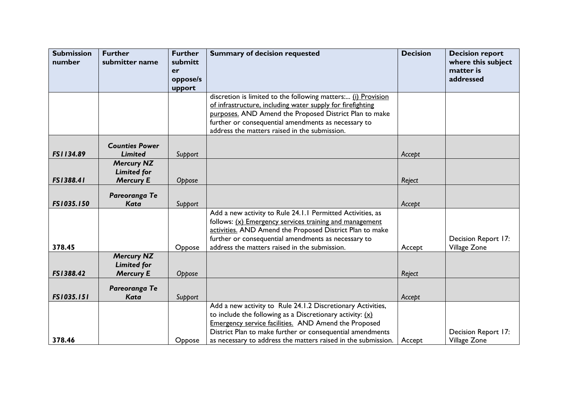| <b>Submission</b><br>number | <b>Further</b><br>submitter name                            | <b>Further</b><br>submitt<br>er | <b>Summary of decision requested</b>                                                                                                                                                                                                                                                                             | <b>Decision</b> | <b>Decision report</b><br>where this subject<br>matter is |
|-----------------------------|-------------------------------------------------------------|---------------------------------|------------------------------------------------------------------------------------------------------------------------------------------------------------------------------------------------------------------------------------------------------------------------------------------------------------------|-----------------|-----------------------------------------------------------|
|                             |                                                             | oppose/s<br>upport              |                                                                                                                                                                                                                                                                                                                  |                 | addressed                                                 |
|                             |                                                             |                                 | discretion is limited to the following matters: (i) Provision<br>of infrastructure, including water supply for firefighting<br>purposes. AND Amend the Proposed District Plan to make<br>further or consequential amendments as necessary to<br>address the matters raised in the submission.                    |                 |                                                           |
| FS1134.89                   | <b>Counties Power</b><br><b>Limited</b>                     | Support                         |                                                                                                                                                                                                                                                                                                                  | Accept          |                                                           |
| FS1388.41                   | <b>Mercury NZ</b><br><b>Limited for</b><br><b>Mercury E</b> | Oppose                          |                                                                                                                                                                                                                                                                                                                  | Reject          |                                                           |
| FS1035.150                  | Pareoranga Te<br><b>Kata</b>                                | Support                         |                                                                                                                                                                                                                                                                                                                  | Accept          |                                                           |
| 378.45                      |                                                             | Oppose                          | Add a new activity to Rule 24.1.1 Permitted Activities, as<br>follows: $(x)$ Emergency services training and management<br>activities. AND Amend the Proposed District Plan to make<br>further or consequential amendments as necessary to<br>address the matters raised in the submission.                      | Accept          | Decision Report 17:<br>Village Zone                       |
| FS1388.42                   | <b>Mercury NZ</b><br><b>Limited for</b><br><b>Mercury E</b> | Oppose                          |                                                                                                                                                                                                                                                                                                                  | Reject          |                                                           |
| FS1035.151                  | Pareoranga Te<br>Kata                                       | Support                         |                                                                                                                                                                                                                                                                                                                  | Accept          |                                                           |
| 378.46                      |                                                             | Oppose                          | Add a new activity to Rule 24.1.2 Discretionary Activities,<br>to include the following as a Discretionary activity: $(x)$<br>Emergency service facilities. AND Amend the Proposed<br>District Plan to make further or consequential amendments<br>as necessary to address the matters raised in the submission. | Accept          | Decision Report 17:<br>Village Zone                       |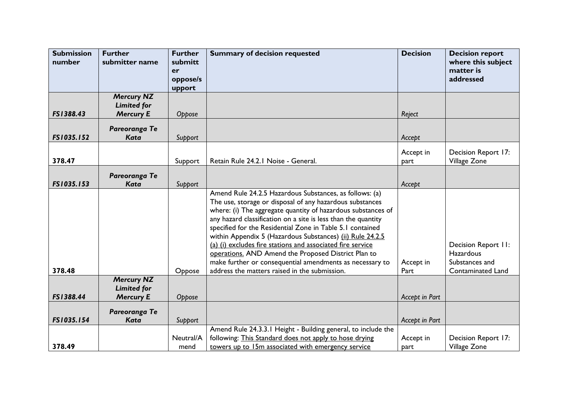| <b>Submission</b><br>number | <b>Further</b><br>submitter name                            | <b>Further</b><br>submitt<br>er<br>oppose/s | <b>Summary of decision requested</b>                                                                                                                                                                                                                                                                                                                                                                                                                                                                                                                                                                             | <b>Decision</b>   | <b>Decision report</b><br>where this subject<br>matter is<br>addressed         |
|-----------------------------|-------------------------------------------------------------|---------------------------------------------|------------------------------------------------------------------------------------------------------------------------------------------------------------------------------------------------------------------------------------------------------------------------------------------------------------------------------------------------------------------------------------------------------------------------------------------------------------------------------------------------------------------------------------------------------------------------------------------------------------------|-------------------|--------------------------------------------------------------------------------|
|                             |                                                             | upport                                      |                                                                                                                                                                                                                                                                                                                                                                                                                                                                                                                                                                                                                  |                   |                                                                                |
| FS1388.43                   | <b>Mercury NZ</b><br><b>Limited for</b><br><b>Mercury E</b> | Oppose                                      |                                                                                                                                                                                                                                                                                                                                                                                                                                                                                                                                                                                                                  | Reject            |                                                                                |
|                             |                                                             |                                             |                                                                                                                                                                                                                                                                                                                                                                                                                                                                                                                                                                                                                  |                   |                                                                                |
| FS1035.152                  | Pareoranga Te<br><b>Kata</b>                                | Support                                     |                                                                                                                                                                                                                                                                                                                                                                                                                                                                                                                                                                                                                  | Accept            |                                                                                |
|                             |                                                             |                                             |                                                                                                                                                                                                                                                                                                                                                                                                                                                                                                                                                                                                                  |                   |                                                                                |
| 378.47                      |                                                             |                                             | Retain Rule 24.2.1 Noise - General.                                                                                                                                                                                                                                                                                                                                                                                                                                                                                                                                                                              | Accept in         | Decision Report 17:<br>Village Zone                                            |
|                             |                                                             | Support                                     |                                                                                                                                                                                                                                                                                                                                                                                                                                                                                                                                                                                                                  | part              |                                                                                |
|                             | Pareoranga Te                                               |                                             |                                                                                                                                                                                                                                                                                                                                                                                                                                                                                                                                                                                                                  |                   |                                                                                |
| FS1035.153                  | <b>Kata</b>                                                 | Support                                     |                                                                                                                                                                                                                                                                                                                                                                                                                                                                                                                                                                                                                  | Accept            |                                                                                |
| 378.48                      | <b>Mercury NZ</b>                                           | Oppose                                      | Amend Rule 24.2.5 Hazardous Substances, as follows: (a)<br>The use, storage or disposal of any hazardous substances<br>where: (i) The aggregate quantity of hazardous substances of<br>any hazard classification on a site is less than the quantity<br>specified for the Residential Zone in Table 5.1 contained<br>within Appendix 5 (Hazardous Substances) (ii) Rule 24.2.5<br>(a) (i) excludes fire stations and associated fire service<br>operations. AND Amend the Proposed District Plan to<br>make further or consequential amendments as necessary to<br>address the matters raised in the submission. | Accept in<br>Part | Decision Report II:<br>Hazardous<br>Substances and<br><b>Contaminated Land</b> |
| FS1388.44                   | <b>Limited for</b><br><b>Mercury E</b>                      | Oppose                                      |                                                                                                                                                                                                                                                                                                                                                                                                                                                                                                                                                                                                                  | Accept in Part    |                                                                                |
| FS1035.154                  | Pareoranga Te<br><b>Kata</b>                                | Support                                     |                                                                                                                                                                                                                                                                                                                                                                                                                                                                                                                                                                                                                  | Accept in Part    |                                                                                |
| 378.49                      |                                                             | Neutral/A<br>mend                           | Amend Rule 24.3.3.1 Height - Building general, to include the<br>following: This Standard does not apply to hose drying<br>towers up to 15m associated with emergency service                                                                                                                                                                                                                                                                                                                                                                                                                                    | Accept in<br>part | Decision Report 17:<br>Village Zone                                            |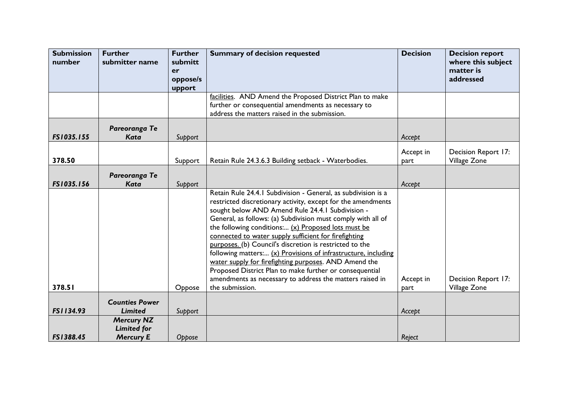| <b>Submission</b><br>number | <b>Further</b><br>submitter name                            | <b>Further</b><br>submitt<br>er | <b>Summary of decision requested</b>                                                                                                                                                                                                                                                                                                                                                                                                                                                                                                                                                                                                                                                                | <b>Decision</b>   | <b>Decision report</b><br>where this subject<br>matter is |
|-----------------------------|-------------------------------------------------------------|---------------------------------|-----------------------------------------------------------------------------------------------------------------------------------------------------------------------------------------------------------------------------------------------------------------------------------------------------------------------------------------------------------------------------------------------------------------------------------------------------------------------------------------------------------------------------------------------------------------------------------------------------------------------------------------------------------------------------------------------------|-------------------|-----------------------------------------------------------|
|                             |                                                             | oppose/s                        |                                                                                                                                                                                                                                                                                                                                                                                                                                                                                                                                                                                                                                                                                                     |                   | addressed                                                 |
|                             |                                                             | upport                          |                                                                                                                                                                                                                                                                                                                                                                                                                                                                                                                                                                                                                                                                                                     |                   |                                                           |
|                             |                                                             |                                 | facilities. AND Amend the Proposed District Plan to make                                                                                                                                                                                                                                                                                                                                                                                                                                                                                                                                                                                                                                            |                   |                                                           |
|                             |                                                             |                                 | further or consequential amendments as necessary to                                                                                                                                                                                                                                                                                                                                                                                                                                                                                                                                                                                                                                                 |                   |                                                           |
|                             |                                                             |                                 | address the matters raised in the submission.                                                                                                                                                                                                                                                                                                                                                                                                                                                                                                                                                                                                                                                       |                   |                                                           |
| FS1035.155                  | Pareoranga Te<br><b>Kata</b>                                | Support                         |                                                                                                                                                                                                                                                                                                                                                                                                                                                                                                                                                                                                                                                                                                     | Accept            |                                                           |
|                             |                                                             |                                 |                                                                                                                                                                                                                                                                                                                                                                                                                                                                                                                                                                                                                                                                                                     |                   |                                                           |
|                             |                                                             |                                 |                                                                                                                                                                                                                                                                                                                                                                                                                                                                                                                                                                                                                                                                                                     | Accept in         | Decision Report 17:                                       |
| 378.50                      |                                                             | Support                         | Retain Rule 24.3.6.3 Building setback - Waterbodies.                                                                                                                                                                                                                                                                                                                                                                                                                                                                                                                                                                                                                                                | part              | Village Zone                                              |
|                             | Pareoranga Te                                               |                                 |                                                                                                                                                                                                                                                                                                                                                                                                                                                                                                                                                                                                                                                                                                     |                   |                                                           |
| FS1035.156                  | <b>Kata</b>                                                 | Support                         |                                                                                                                                                                                                                                                                                                                                                                                                                                                                                                                                                                                                                                                                                                     | Accept            |                                                           |
| 378.51                      |                                                             | Oppose                          | Retain Rule 24.4.1 Subdivision - General, as subdivision is a<br>restricted discretionary activity, except for the amendments<br>sought below AND Amend Rule 24.4.1 Subdivision -<br>General, as follows: (a) Subdivision must comply with all of<br>the following conditions: $(x)$ Proposed lots must be<br>connected to water supply sufficient for firefighting<br>purposes. (b) Council's discretion is restricted to the<br>following matters: (x) Provisions of infrastructure, including<br>water supply for firefighting purposes. AND Amend the<br>Proposed District Plan to make further or consequential<br>amendments as necessary to address the matters raised in<br>the submission. | Accept in<br>part | Decision Report 17:<br>Village Zone                       |
|                             |                                                             |                                 |                                                                                                                                                                                                                                                                                                                                                                                                                                                                                                                                                                                                                                                                                                     |                   |                                                           |
| FS1134.93                   | <b>Counties Power</b><br><b>Limited</b>                     | Support                         |                                                                                                                                                                                                                                                                                                                                                                                                                                                                                                                                                                                                                                                                                                     | Accept            |                                                           |
| FS1388.45                   | <b>Mercury NZ</b><br><b>Limited for</b><br><b>Mercury E</b> | Oppose                          |                                                                                                                                                                                                                                                                                                                                                                                                                                                                                                                                                                                                                                                                                                     | Reject            |                                                           |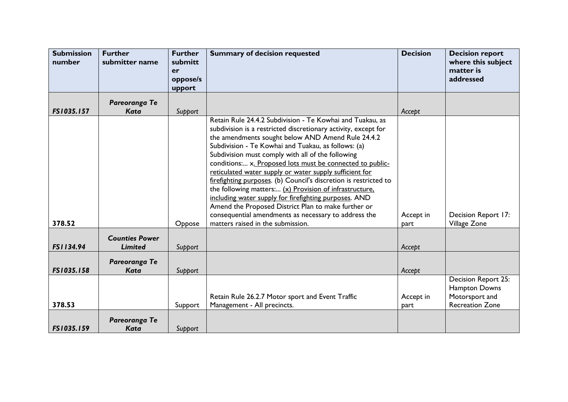| <b>Submission</b><br>number | <b>Further</b><br>submitter name | <b>Further</b><br>submitt<br>er<br>oppose/s<br>upport | <b>Summary of decision requested</b>                                                                                                                                                                                                                                                                                                                                                                                                                                                                                                                                                                                                                                                                                                                             | <b>Decision</b>   | <b>Decision report</b><br>where this subject<br>matter is<br>addressed           |
|-----------------------------|----------------------------------|-------------------------------------------------------|------------------------------------------------------------------------------------------------------------------------------------------------------------------------------------------------------------------------------------------------------------------------------------------------------------------------------------------------------------------------------------------------------------------------------------------------------------------------------------------------------------------------------------------------------------------------------------------------------------------------------------------------------------------------------------------------------------------------------------------------------------------|-------------------|----------------------------------------------------------------------------------|
|                             | Pareoranga Te                    |                                                       |                                                                                                                                                                                                                                                                                                                                                                                                                                                                                                                                                                                                                                                                                                                                                                  |                   |                                                                                  |
| FS1035.157                  | <b>Kata</b>                      | Support                                               |                                                                                                                                                                                                                                                                                                                                                                                                                                                                                                                                                                                                                                                                                                                                                                  | Accept            |                                                                                  |
| 378.52                      |                                  | Oppose                                                | Retain Rule 24.4.2 Subdivision - Te Kowhai and Tuakau, as<br>subdivision is a restricted discretionary activity, except for<br>the amendments sought below AND Amend Rule 24.4.2<br>Subdivision - Te Kowhai and Tuakau, as follows: (a)<br>Subdivision must comply with all of the following<br>conditions: x. Proposed lots must be connected to public-<br>reticulated water supply or water supply sufficient for<br>firefighting purposes. (b) Council's discretion is restricted to<br>the following matters: (x) Provision of infrastructure.<br>including water supply for firefighting purposes. AND<br>Amend the Proposed District Plan to make further or<br>consequential amendments as necessary to address the<br>matters raised in the submission. | Accept in         | Decision Report 17:<br>Village Zone                                              |
|                             | <b>Counties Power</b>            |                                                       |                                                                                                                                                                                                                                                                                                                                                                                                                                                                                                                                                                                                                                                                                                                                                                  | part              |                                                                                  |
| FS1134.94                   | <b>Limited</b>                   | Support                                               |                                                                                                                                                                                                                                                                                                                                                                                                                                                                                                                                                                                                                                                                                                                                                                  | Accept            |                                                                                  |
| FS1035.158                  | Pareoranga Te<br>Kata            | Support                                               |                                                                                                                                                                                                                                                                                                                                                                                                                                                                                                                                                                                                                                                                                                                                                                  | Accept            |                                                                                  |
| 378.53                      |                                  | Support                                               | Retain Rule 26.2.7 Motor sport and Event Traffic<br>Management - All precincts.                                                                                                                                                                                                                                                                                                                                                                                                                                                                                                                                                                                                                                                                                  | Accept in<br>part | Decision Report 25:<br>Hampton Downs<br>Motorsport and<br><b>Recreation Zone</b> |
| FS1035.159                  | Pareoranga Te<br>Kata            | Support                                               |                                                                                                                                                                                                                                                                                                                                                                                                                                                                                                                                                                                                                                                                                                                                                                  |                   |                                                                                  |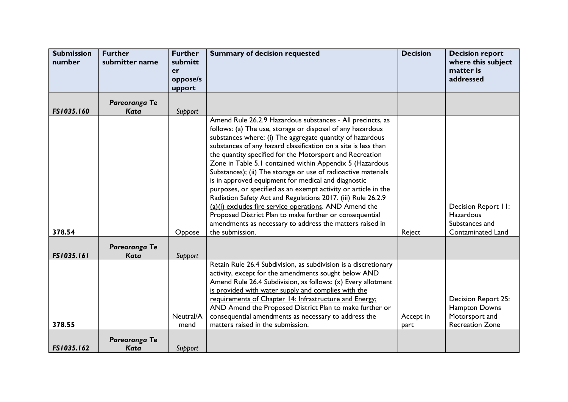| <b>Submission</b><br>number | <b>Further</b><br>submitter name | <b>Further</b><br>submitt | <b>Summary of decision requested</b>                                                                                       | <b>Decision</b> | <b>Decision report</b><br>where this subject |
|-----------------------------|----------------------------------|---------------------------|----------------------------------------------------------------------------------------------------------------------------|-----------------|----------------------------------------------|
|                             |                                  | er                        |                                                                                                                            |                 | matter is                                    |
|                             |                                  | oppose/s                  |                                                                                                                            |                 | addressed                                    |
|                             |                                  | upport                    |                                                                                                                            |                 |                                              |
|                             | Pareoranga Te                    |                           |                                                                                                                            |                 |                                              |
| FS1035.160                  | Kata                             | Support                   |                                                                                                                            |                 |                                              |
|                             |                                  |                           | Amend Rule 26.2.9 Hazardous substances - All precincts, as                                                                 |                 |                                              |
|                             |                                  |                           | follows: (a) The use, storage or disposal of any hazardous                                                                 |                 |                                              |
|                             |                                  |                           | substances where: (i) The aggregate quantity of hazardous                                                                  |                 |                                              |
|                             |                                  |                           | substances of any hazard classification on a site is less than<br>the quantity specified for the Motorsport and Recreation |                 |                                              |
|                             |                                  |                           | Zone in Table 5.1 contained within Appendix 5 (Hazardous                                                                   |                 |                                              |
|                             |                                  |                           | Substances); (ii) The storage or use of radioactive materials                                                              |                 |                                              |
|                             |                                  |                           | is in approved equipment for medical and diagnostic                                                                        |                 |                                              |
|                             |                                  |                           | purposes, or specified as an exempt activity or article in the                                                             |                 |                                              |
|                             |                                  |                           | Radiation Safety Act and Regulations 2017. (iii) Rule 26.2.9                                                               |                 |                                              |
|                             |                                  |                           | (a)(i) excludes fire service operations. AND Amend the                                                                     |                 | Decision Report II:                          |
|                             |                                  |                           | Proposed District Plan to make further or consequential                                                                    |                 | <b>Hazardous</b>                             |
| 378.54                      |                                  | Oppose                    | amendments as necessary to address the matters raised in<br>the submission.                                                | Reject          | Substances and<br>Contaminated Land          |
|                             |                                  |                           |                                                                                                                            |                 |                                              |
|                             | Pareoranga Te                    |                           |                                                                                                                            |                 |                                              |
| <b>FS1035.161</b>           | Kata                             | Support                   |                                                                                                                            |                 |                                              |
|                             |                                  |                           | Retain Rule 26.4 Subdivision, as subdivision is a discretionary                                                            |                 |                                              |
|                             |                                  |                           | activity, except for the amendments sought below AND<br>Amend Rule 26.4 Subdivision, as follows: (x) Every allotment       |                 |                                              |
|                             |                                  |                           | is provided with water supply and complies with the                                                                        |                 |                                              |
|                             |                                  |                           | requirements of Chapter 14: Infrastructure and Energy:                                                                     |                 | Decision Report 25:                          |
|                             |                                  |                           | AND Amend the Proposed District Plan to make further or                                                                    |                 | Hampton Downs                                |
|                             |                                  | Neutral/A                 | consequential amendments as necessary to address the                                                                       | Accept in       | Motorsport and                               |
| 378.55                      |                                  | mend                      | matters raised in the submission.                                                                                          | part            | <b>Recreation Zone</b>                       |
|                             | Pareoranga Te                    |                           |                                                                                                                            |                 |                                              |
| FS1035.162                  | Kata                             | Support                   |                                                                                                                            |                 |                                              |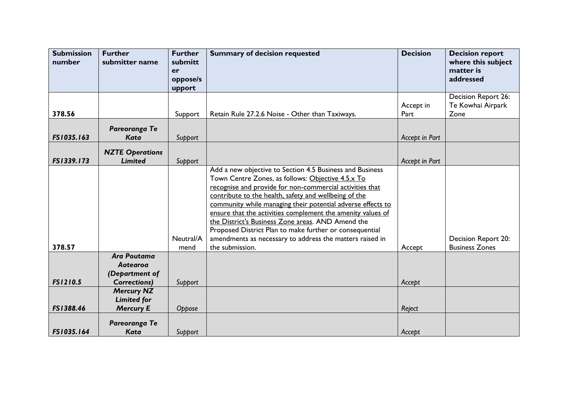| <b>Submission</b><br>number | <b>Further</b><br>submitter name | <b>Further</b><br>submitt | <b>Summary of decision requested</b>                        | <b>Decision</b>   | <b>Decision report</b><br>where this subject |
|-----------------------------|----------------------------------|---------------------------|-------------------------------------------------------------|-------------------|----------------------------------------------|
|                             |                                  | er                        |                                                             |                   | matter is                                    |
|                             |                                  | oppose/s                  |                                                             |                   | addressed                                    |
|                             |                                  | upport                    |                                                             |                   |                                              |
|                             |                                  |                           |                                                             |                   | Decision Report 26:<br>Te Kowhai Airpark     |
| 378.56                      |                                  | Support                   | Retain Rule 27.2.6 Noise - Other than Taxiways.             | Accept in<br>Part | Zone                                         |
|                             |                                  |                           |                                                             |                   |                                              |
|                             | Pareoranga Te                    |                           |                                                             |                   |                                              |
| FS1035.163                  | Kata                             | Support                   |                                                             | Accept in Part    |                                              |
|                             | <b>NZTE Operations</b>           |                           |                                                             |                   |                                              |
| FS1339.173                  | <b>Limited</b>                   | Support                   |                                                             | Accept in Part    |                                              |
|                             |                                  |                           | Add a new objective to Section 4.5 Business and Business    |                   |                                              |
|                             |                                  |                           | Town Centre Zones, as follows: Objective 4.5.x To           |                   |                                              |
|                             |                                  |                           | recognise and provide for non-commercial activities that    |                   |                                              |
|                             |                                  |                           | contribute to the health, safety and wellbeing of the       |                   |                                              |
|                             |                                  |                           | community while managing their potential adverse effects to |                   |                                              |
|                             |                                  |                           | ensure that the activities complement the amenity values of |                   |                                              |
|                             |                                  |                           | the District's Business Zone areas. AND Amend the           |                   |                                              |
|                             |                                  |                           | Proposed District Plan to make further or consequential     |                   |                                              |
|                             |                                  | Neutral/A                 | amendments as necessary to address the matters raised in    |                   | Decision Report 20:                          |
| 378.57                      | <b>Ara Poutama</b>               | mend                      | the submission.                                             | Accept            | <b>Business Zones</b>                        |
|                             | Aotearoa                         |                           |                                                             |                   |                                              |
|                             | (Department of                   |                           |                                                             |                   |                                              |
| FS1210.5                    | <b>Corrections)</b>              | Support                   |                                                             | Accept            |                                              |
|                             | <b>Mercury NZ</b>                |                           |                                                             |                   |                                              |
|                             | <b>Limited for</b>               |                           |                                                             |                   |                                              |
| FS1388.46                   | <b>Mercury E</b>                 | Oppose                    |                                                             | Reject            |                                              |
|                             | Pareoranga Te                    |                           |                                                             |                   |                                              |
| FS1035.164                  | Kata                             | Support                   |                                                             | Accept            |                                              |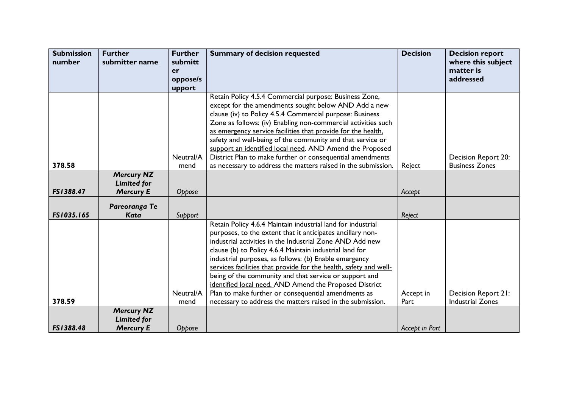| <b>Submission</b> | <b>Further</b>     | <b>Further</b> | <b>Summary of decision requested</b>                                                                                       | <b>Decision</b> | <b>Decision report</b>                       |
|-------------------|--------------------|----------------|----------------------------------------------------------------------------------------------------------------------------|-----------------|----------------------------------------------|
| number            | submitter name     | submitt        |                                                                                                                            |                 | where this subject                           |
|                   |                    | er             |                                                                                                                            |                 | matter is                                    |
|                   |                    | oppose/s       |                                                                                                                            |                 | addressed                                    |
|                   |                    | upport         |                                                                                                                            |                 |                                              |
|                   |                    |                | Retain Policy 4.5.4 Commercial purpose: Business Zone,                                                                     |                 |                                              |
|                   |                    |                | except for the amendments sought below AND Add a new                                                                       |                 |                                              |
|                   |                    |                | clause (iv) to Policy 4.5.4 Commercial purpose: Business                                                                   |                 |                                              |
|                   |                    |                | Zone as follows: (iv) Enabling non-commercial activities such                                                              |                 |                                              |
|                   |                    |                | as emergency service facilities that provide for the health.                                                               |                 |                                              |
|                   |                    |                | safety and well-being of the community and that service or                                                                 |                 |                                              |
|                   |                    | Neutral/A      | support an identified local need. AND Amend the Proposed                                                                   |                 |                                              |
| 378.58            |                    | mend           | District Plan to make further or consequential amendments<br>as necessary to address the matters raised in the submission. |                 | Decision Report 20:<br><b>Business Zones</b> |
|                   | <b>Mercury NZ</b>  |                |                                                                                                                            | Reject          |                                              |
|                   | <b>Limited for</b> |                |                                                                                                                            |                 |                                              |
| FS1388.47         | <b>Mercury E</b>   | Oppose         |                                                                                                                            | Accept          |                                              |
|                   |                    |                |                                                                                                                            |                 |                                              |
|                   | Pareoranga Te      |                |                                                                                                                            |                 |                                              |
| FS1035.165        | <b>Kata</b>        | Support        |                                                                                                                            | Reject          |                                              |
|                   |                    |                | Retain Policy 4.6.4 Maintain industrial land for industrial                                                                |                 |                                              |
|                   |                    |                | purposes, to the extent that it anticipates ancillary non-                                                                 |                 |                                              |
|                   |                    |                | industrial activities in the Industrial Zone AND Add new                                                                   |                 |                                              |
|                   |                    |                | clause (b) to Policy 4.6.4 Maintain industrial land for                                                                    |                 |                                              |
|                   |                    |                | industrial purposes, as follows: (b) Enable emergency                                                                      |                 |                                              |
|                   |                    |                | services facilities that provide for the health, safety and well-                                                          |                 |                                              |
|                   |                    |                | being of the community and that service or support and                                                                     |                 |                                              |
|                   |                    |                | identified local need. AND Amend the Proposed District                                                                     |                 |                                              |
|                   |                    | Neutral/A      | Plan to make further or consequential amendments as                                                                        | Accept in       | Decision Report 21:                          |
| 378.59            |                    | mend           | necessary to address the matters raised in the submission.                                                                 | Part            | <b>Industrial Zones</b>                      |
|                   | <b>Mercury NZ</b>  |                |                                                                                                                            |                 |                                              |
|                   | <b>Limited for</b> |                |                                                                                                                            |                 |                                              |
| FS1388.48         | <b>Mercury E</b>   | Oppose         |                                                                                                                            | Accept in Part  |                                              |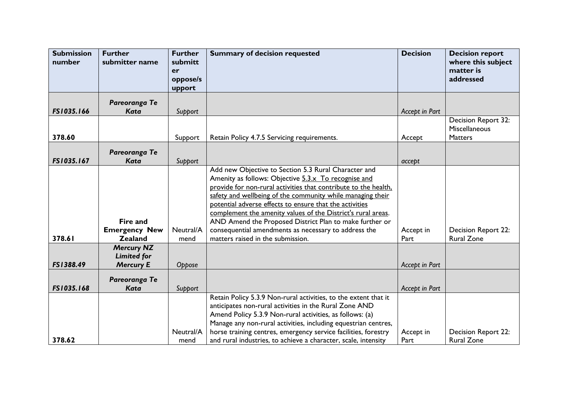| <b>Submission</b><br>number | <b>Further</b><br>submitter name                   | <b>Further</b><br>submitt<br>er<br>oppose/s | <b>Summary of decision requested</b>                                                                                                                                                                                                                                                                                                                                                                                                                                                                                             | <b>Decision</b>   | <b>Decision report</b><br>where this subject<br>matter is<br>addressed |
|-----------------------------|----------------------------------------------------|---------------------------------------------|----------------------------------------------------------------------------------------------------------------------------------------------------------------------------------------------------------------------------------------------------------------------------------------------------------------------------------------------------------------------------------------------------------------------------------------------------------------------------------------------------------------------------------|-------------------|------------------------------------------------------------------------|
|                             |                                                    | upport                                      |                                                                                                                                                                                                                                                                                                                                                                                                                                                                                                                                  |                   |                                                                        |
| FS1035.166                  | Pareoranga Te<br>Kata                              | Support                                     |                                                                                                                                                                                                                                                                                                                                                                                                                                                                                                                                  | Accept in Part    |                                                                        |
|                             |                                                    |                                             |                                                                                                                                                                                                                                                                                                                                                                                                                                                                                                                                  |                   | Decision Report 32:<br>Miscellaneous                                   |
| 378.60                      |                                                    | Support                                     | Retain Policy 4.7.5 Servicing requirements.                                                                                                                                                                                                                                                                                                                                                                                                                                                                                      | Accept            | <b>Matters</b>                                                         |
| FS1035.167                  | Pareoranga Te<br>Kata                              | Support                                     |                                                                                                                                                                                                                                                                                                                                                                                                                                                                                                                                  | accept            |                                                                        |
| 378.61                      | Fire and<br><b>Emergency New</b><br><b>Zealand</b> | Neutral/A<br>mend                           | Add new Objective to Section 5.3 Rural Character and<br>Amenity as follows: Objective 5.3.x To recognise and<br>provide for non-rural activities that contribute to the health,<br>safety and wellbeing of the community while managing their<br>potential adverse effects to ensure that the activities<br>complement the amenity values of the District's rural areas.<br>AND Amend the Proposed District Plan to make further or<br>consequential amendments as necessary to address the<br>matters raised in the submission. | Accept in<br>Part | Decision Report 22:<br><b>Rural Zone</b>                               |
|                             | <b>Mercury NZ</b>                                  |                                             |                                                                                                                                                                                                                                                                                                                                                                                                                                                                                                                                  |                   |                                                                        |
|                             | <b>Limited for</b>                                 |                                             |                                                                                                                                                                                                                                                                                                                                                                                                                                                                                                                                  |                   |                                                                        |
| FS1388.49                   | <b>Mercury E</b>                                   | Oppose                                      |                                                                                                                                                                                                                                                                                                                                                                                                                                                                                                                                  | Accept in Part    |                                                                        |
| FS1035.168                  | Pareoranga Te<br><b>Kata</b>                       | Support                                     |                                                                                                                                                                                                                                                                                                                                                                                                                                                                                                                                  | Accept in Part    |                                                                        |
| 378.62                      |                                                    | Neutral/A<br>mend                           | Retain Policy 5.3.9 Non-rural activities, to the extent that it<br>anticipates non-rural activities in the Rural Zone AND<br>Amend Policy 5.3.9 Non-rural activities, as follows: (a)<br>Manage any non-rural activities, including equestrian centres,<br>horse training centres, emergency service facilities, forestry<br>and rural industries, to achieve a character, scale, intensity                                                                                                                                      | Accept in<br>Part | <b>Decision Report 22:</b><br><b>Rural Zone</b>                        |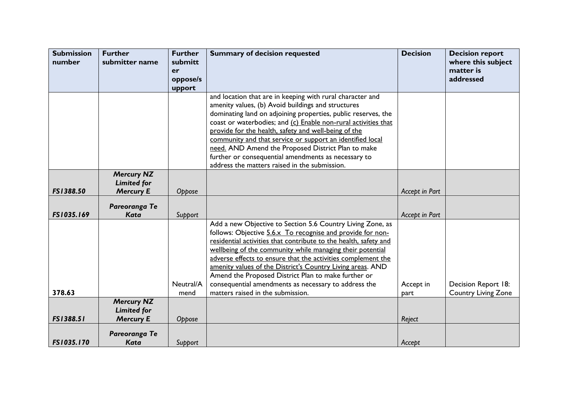| <b>Submission</b><br>number | <b>Further</b><br>submitter name        | <b>Further</b><br>submitt | <b>Summary of decision requested</b>                                                                                      | <b>Decision</b> | <b>Decision report</b><br>where this subject |
|-----------------------------|-----------------------------------------|---------------------------|---------------------------------------------------------------------------------------------------------------------------|-----------------|----------------------------------------------|
|                             |                                         | er                        |                                                                                                                           |                 | matter is                                    |
|                             |                                         | oppose/s                  |                                                                                                                           |                 | addressed                                    |
|                             |                                         | upport                    |                                                                                                                           |                 |                                              |
|                             |                                         |                           | and location that are in keeping with rural character and                                                                 |                 |                                              |
|                             |                                         |                           | amenity values, (b) Avoid buildings and structures<br>dominating land on adjoining properties, public reserves, the       |                 |                                              |
|                             |                                         |                           | coast or waterbodies; and (c) Enable non-rural activities that                                                            |                 |                                              |
|                             |                                         |                           | provide for the health, safety and well-being of the                                                                      |                 |                                              |
|                             |                                         |                           | community and that service or support an identified local                                                                 |                 |                                              |
|                             |                                         |                           | need. AND Amend the Proposed District Plan to make                                                                        |                 |                                              |
|                             |                                         |                           | further or consequential amendments as necessary to                                                                       |                 |                                              |
|                             | <b>Mercury NZ</b>                       |                           | address the matters raised in the submission.                                                                             |                 |                                              |
|                             | <b>Limited for</b>                      |                           |                                                                                                                           |                 |                                              |
| FS1388.50                   | <b>Mercury E</b>                        | Oppose                    |                                                                                                                           | Accept in Part  |                                              |
|                             | Pareoranga Te                           |                           |                                                                                                                           |                 |                                              |
| FS1035.169                  | <b>Kata</b>                             | Support                   |                                                                                                                           | Accept in Part  |                                              |
|                             |                                         |                           | Add a new Objective to Section 5.6 Country Living Zone, as                                                                |                 |                                              |
|                             |                                         |                           | follows: Objective 5.6.x To recognise and provide for non-                                                                |                 |                                              |
|                             |                                         |                           | residential activities that contribute to the health, safety and                                                          |                 |                                              |
|                             |                                         |                           | wellbeing of the community while managing their potential<br>adverse effects to ensure that the activities complement the |                 |                                              |
|                             |                                         |                           | amenity values of the District's Country Living areas. AND                                                                |                 |                                              |
|                             |                                         |                           | Amend the Proposed District Plan to make further or                                                                       |                 |                                              |
|                             |                                         | Neutral/A                 | consequential amendments as necessary to address the                                                                      | Accept in       | Decision Report 18:                          |
| 378.63                      |                                         | mend                      | matters raised in the submission.                                                                                         | part            | <b>Country Living Zone</b>                   |
|                             | <b>Mercury NZ</b><br><b>Limited for</b> |                           |                                                                                                                           |                 |                                              |
| FS1388.51                   | <b>Mercury E</b>                        | Oppose                    |                                                                                                                           | Reject          |                                              |
|                             |                                         |                           |                                                                                                                           |                 |                                              |
| FS1035.170                  | Pareoranga Te<br>Kata                   | Support                   |                                                                                                                           | Accept          |                                              |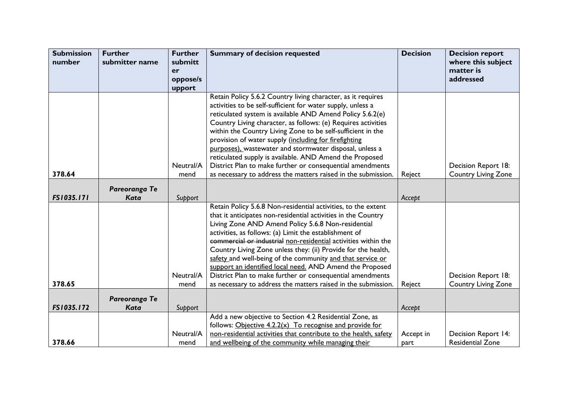| <b>Submission</b> | <b>Further</b> | <b>Further</b> | <b>Summary of decision requested</b>                                                                                       | <b>Decision</b> | <b>Decision report</b>                            |
|-------------------|----------------|----------------|----------------------------------------------------------------------------------------------------------------------------|-----------------|---------------------------------------------------|
| number            | submitter name | submitt        |                                                                                                                            |                 | where this subject                                |
|                   |                | er<br>oppose/s |                                                                                                                            |                 | matter is<br>addressed                            |
|                   |                | upport         |                                                                                                                            |                 |                                                   |
|                   |                |                | Retain Policy 5.6.2 Country living character, as it requires                                                               |                 |                                                   |
|                   |                |                | activities to be self-sufficient for water supply, unless a                                                                |                 |                                                   |
|                   |                |                | reticulated system is available AND Amend Policy 5.6.2(e)                                                                  |                 |                                                   |
|                   |                |                | Country Living character, as follows: (e) Requires activities                                                              |                 |                                                   |
|                   |                |                | within the Country Living Zone to be self-sufficient in the                                                                |                 |                                                   |
|                   |                |                | provision of water supply (including for firefighting                                                                      |                 |                                                   |
|                   |                |                | purposes), wastewater and stormwater disposal, unless a                                                                    |                 |                                                   |
|                   |                |                | reticulated supply is available. AND Amend the Proposed                                                                    |                 |                                                   |
| 378.64            |                | Neutral/A      | District Plan to make further or consequential amendments<br>as necessary to address the matters raised in the submission. |                 | Decision Report 18:                               |
|                   |                | mend           |                                                                                                                            | Reject          | <b>Country Living Zone</b>                        |
|                   | Pareoranga Te  |                |                                                                                                                            |                 |                                                   |
| FS1035.171        | Kata           | Support        |                                                                                                                            | Accept          |                                                   |
|                   |                |                | Retain Policy 5.6.8 Non-residential activities, to the extent                                                              |                 |                                                   |
|                   |                |                | that it anticipates non-residential activities in the Country                                                              |                 |                                                   |
|                   |                |                | Living Zone AND Amend Policy 5.6.8 Non-residential                                                                         |                 |                                                   |
|                   |                |                | activities, as follows: (a) Limit the establishment of                                                                     |                 |                                                   |
|                   |                |                | commercial or industrial non-residential activities within the                                                             |                 |                                                   |
|                   |                |                | Country Living Zone unless they: (ii) Provide for the health,                                                              |                 |                                                   |
|                   |                |                | safety and well-being of the community and that service or                                                                 |                 |                                                   |
|                   |                | Neutral/A      | support an identified local need. AND Amend the Proposed<br>District Plan to make further or consequential amendments      |                 |                                                   |
| 378.65            |                | mend           | as necessary to address the matters raised in the submission.                                                              | Reject          | Decision Report 18:<br><b>Country Living Zone</b> |
|                   |                |                |                                                                                                                            |                 |                                                   |
|                   | Pareoranga Te  |                |                                                                                                                            |                 |                                                   |
| FS1035.172        | <b>Kata</b>    | Support        |                                                                                                                            | Accept          |                                                   |
|                   |                |                | Add a new objective to Section 4.2 Residential Zone, as                                                                    |                 |                                                   |
|                   |                |                | follows: Objective 4.2.2(x) To recognise and provide for                                                                   |                 |                                                   |
|                   |                | Neutral/A      | non-residential activities that contribute to the health, safety                                                           | Accept in       | Decision Report 14:                               |
| 378.66            |                | mend           | and wellbeing of the community while managing their                                                                        | part            | <b>Residential Zone</b>                           |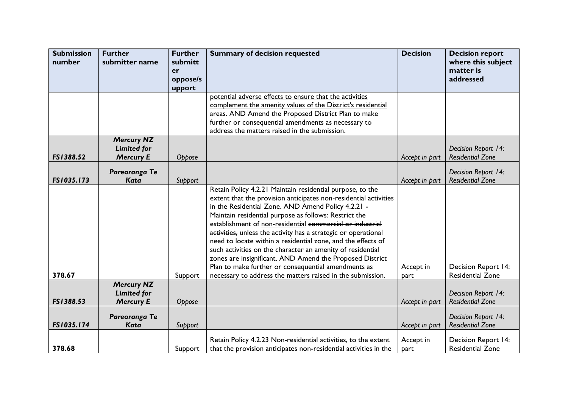| <b>Submission</b><br>number | <b>Further</b><br>submitter name       | <b>Further</b><br>submitt<br>er<br>oppose/s<br>upport | <b>Summary of decision requested</b>                                                                                                                                                                                                                                                                                                                                                                                                                                                                                                                                                                                                                                                       | <b>Decision</b>   | <b>Decision report</b><br>where this subject<br>matter is<br>addressed |
|-----------------------------|----------------------------------------|-------------------------------------------------------|--------------------------------------------------------------------------------------------------------------------------------------------------------------------------------------------------------------------------------------------------------------------------------------------------------------------------------------------------------------------------------------------------------------------------------------------------------------------------------------------------------------------------------------------------------------------------------------------------------------------------------------------------------------------------------------------|-------------------|------------------------------------------------------------------------|
|                             |                                        |                                                       | potential adverse effects to ensure that the activities                                                                                                                                                                                                                                                                                                                                                                                                                                                                                                                                                                                                                                    |                   |                                                                        |
|                             |                                        |                                                       | complement the amenity values of the District's residential                                                                                                                                                                                                                                                                                                                                                                                                                                                                                                                                                                                                                                |                   |                                                                        |
|                             |                                        |                                                       | areas. AND Amend the Proposed District Plan to make<br>further or consequential amendments as necessary to                                                                                                                                                                                                                                                                                                                                                                                                                                                                                                                                                                                 |                   |                                                                        |
|                             |                                        |                                                       | address the matters raised in the submission.                                                                                                                                                                                                                                                                                                                                                                                                                                                                                                                                                                                                                                              |                   |                                                                        |
|                             | <b>Mercury NZ</b>                      |                                                       |                                                                                                                                                                                                                                                                                                                                                                                                                                                                                                                                                                                                                                                                                            |                   |                                                                        |
|                             | <b>Limited for</b>                     |                                                       |                                                                                                                                                                                                                                                                                                                                                                                                                                                                                                                                                                                                                                                                                            |                   | Decision Report 14:                                                    |
| FS1388.52                   | <b>Mercury E</b>                       | Oppose                                                |                                                                                                                                                                                                                                                                                                                                                                                                                                                                                                                                                                                                                                                                                            | Accept in part    | <b>Residential Zone</b>                                                |
|                             | Pareoranga Te                          |                                                       |                                                                                                                                                                                                                                                                                                                                                                                                                                                                                                                                                                                                                                                                                            |                   | Decision Report 14:                                                    |
| FS1035.173                  | <b>Kata</b>                            | Support                                               |                                                                                                                                                                                                                                                                                                                                                                                                                                                                                                                                                                                                                                                                                            | Accept in part    | <b>Residential Zone</b>                                                |
| 378.67                      |                                        | Support                                               | Retain Policy 4.2.21 Maintain residential purpose, to the<br>extent that the provision anticipates non-residential activities<br>in the Residential Zone. AND Amend Policy 4.2.21 -<br>Maintain residential purpose as follows: Restrict the<br>establishment of non-residential commercial or industrial<br>activities, unless the activity has a strategic or operational<br>need to locate within a residential zone, and the effects of<br>such activities on the character an amenity of residential<br>zones are insignificant. AND Amend the Proposed District<br>Plan to make further or consequential amendments as<br>necessary to address the matters raised in the submission. | Accept in<br>part | Decision Report 14:<br><b>Residential Zone</b>                         |
|                             | <b>Mercury NZ</b>                      |                                                       |                                                                                                                                                                                                                                                                                                                                                                                                                                                                                                                                                                                                                                                                                            |                   |                                                                        |
| FS1388.53                   | <b>Limited for</b><br><b>Mercury E</b> | Oppose                                                |                                                                                                                                                                                                                                                                                                                                                                                                                                                                                                                                                                                                                                                                                            | Accept in part    | Decision Report 14:<br><b>Residential Zone</b>                         |
| FS1035.174                  | Pareoranga Te<br><b>Kata</b>           | Support                                               |                                                                                                                                                                                                                                                                                                                                                                                                                                                                                                                                                                                                                                                                                            | Accept in part    | Decision Report 14:<br><b>Residential Zone</b>                         |
| 378.68                      |                                        | Support                                               | Retain Policy 4.2.23 Non-residential activities, to the extent<br>that the provision anticipates non-residential activities in the                                                                                                                                                                                                                                                                                                                                                                                                                                                                                                                                                         | Accept in<br>part | Decision Report 14:<br><b>Residential Zone</b>                         |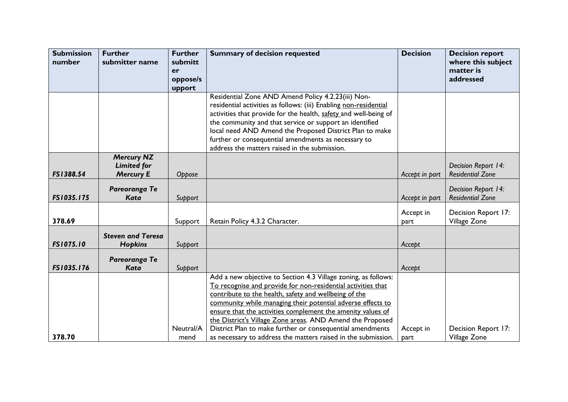| <b>Submission</b><br>number | <b>Further</b><br>submitter name        | <b>Further</b><br>submitt | <b>Summary of decision requested</b>                              | <b>Decision</b> | <b>Decision report</b><br>where this subject |
|-----------------------------|-----------------------------------------|---------------------------|-------------------------------------------------------------------|-----------------|----------------------------------------------|
|                             |                                         | er                        |                                                                   |                 | matter is                                    |
|                             |                                         | oppose/s                  |                                                                   |                 | addressed                                    |
|                             |                                         | upport                    |                                                                   |                 |                                              |
|                             |                                         |                           | Residential Zone AND Amend Policy 4.2.23(iii) Non-                |                 |                                              |
|                             |                                         |                           | residential activities as follows: (iii) Enabling non-residential |                 |                                              |
|                             |                                         |                           | activities that provide for the health, safety and well-being of  |                 |                                              |
|                             |                                         |                           | the community and that service or support an identified           |                 |                                              |
|                             |                                         |                           | local need AND Amend the Proposed District Plan to make           |                 |                                              |
|                             |                                         |                           | further or consequential amendments as necessary to               |                 |                                              |
|                             |                                         |                           | address the matters raised in the submission.                     |                 |                                              |
|                             | <b>Mercury NZ</b><br><b>Limited for</b> |                           |                                                                   |                 | Decision Report 14:                          |
| FS1388.54                   | <b>Mercury E</b>                        | Oppose                    |                                                                   | Accept in part  | <b>Residential Zone</b>                      |
|                             | Pareoranga Te                           |                           |                                                                   |                 | Decision Report 14:                          |
| FS1035.175                  | <b>Kata</b>                             | Support                   |                                                                   | Accept in part  | <b>Residential Zone</b>                      |
|                             |                                         |                           |                                                                   | Accept in       | Decision Report 17:                          |
| 378.69                      |                                         | Support                   | Retain Policy 4.3.2 Character.                                    | part            | Village Zone                                 |
|                             |                                         |                           |                                                                   |                 |                                              |
|                             | <b>Steven and Teresa</b>                |                           |                                                                   |                 |                                              |
| <b>FS1075.10</b>            | <b>Hopkins</b>                          | Support                   |                                                                   | Accept          |                                              |
|                             | Pareoranga Te                           |                           |                                                                   |                 |                                              |
| FS1035.176                  | Kata                                    | Support                   |                                                                   | Accept          |                                              |
|                             |                                         |                           | Add a new objective to Section 4.3 Village zoning, as follows:    |                 |                                              |
|                             |                                         |                           | To recognise and provide for non-residential activities that      |                 |                                              |
|                             |                                         |                           | contribute to the health, safety and wellbeing of the             |                 |                                              |
|                             |                                         |                           | community while managing their potential adverse effects to       |                 |                                              |
|                             |                                         |                           | ensure that the activities complement the amenity values of       |                 |                                              |
|                             |                                         |                           | the District's Village Zone areas. AND Amend the Proposed         |                 |                                              |
|                             |                                         | Neutral/A                 | District Plan to make further or consequential amendments         | Accept in       | Decision Report 17:                          |
| 378.70                      |                                         | mend                      | as necessary to address the matters raised in the submission.     | part            | Village Zone                                 |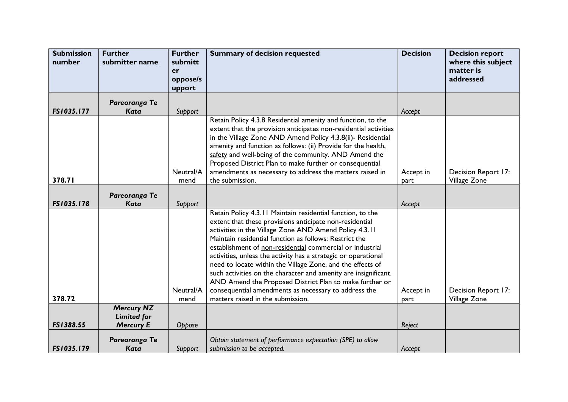| <b>Submission</b><br>number | <b>Further</b><br>submitter name                            | <b>Further</b><br>submitt<br>er | <b>Summary of decision requested</b>                                                                                                                                                                                                                                                                                                                                                                                                                                                                                                                                                                                                                              | <b>Decision</b>   | <b>Decision report</b><br>where this subject<br>matter is |
|-----------------------------|-------------------------------------------------------------|---------------------------------|-------------------------------------------------------------------------------------------------------------------------------------------------------------------------------------------------------------------------------------------------------------------------------------------------------------------------------------------------------------------------------------------------------------------------------------------------------------------------------------------------------------------------------------------------------------------------------------------------------------------------------------------------------------------|-------------------|-----------------------------------------------------------|
|                             |                                                             | oppose/s<br>upport              |                                                                                                                                                                                                                                                                                                                                                                                                                                                                                                                                                                                                                                                                   |                   | addressed                                                 |
| FS1035.177                  | Pareoranga Te<br>Kata                                       | Support                         |                                                                                                                                                                                                                                                                                                                                                                                                                                                                                                                                                                                                                                                                   | Accept            |                                                           |
| 378.71                      |                                                             | Neutral/A<br>mend               | Retain Policy 4.3.8 Residential amenity and function, to the<br>extent that the provision anticipates non-residential activities<br>in the Village Zone AND Amend Policy 4.3.8(ii)- Residential<br>amenity and function as follows: (ii) Provide for the health,<br>safety and well-being of the community. AND Amend the<br>Proposed District Plan to make further or consequential<br>amendments as necessary to address the matters raised in<br>the submission.                                                                                                                                                                                               | Accept in<br>part | Decision Report 17:<br>Village Zone                       |
| FS1035.178                  | Pareoranga Te<br><b>Kata</b>                                | Support                         |                                                                                                                                                                                                                                                                                                                                                                                                                                                                                                                                                                                                                                                                   | Accept            |                                                           |
| 378.72                      |                                                             | Neutral/A<br>mend               | Retain Policy 4.3.11 Maintain residential function, to the<br>extent that these provisions anticipate non-residential<br>activities in the Village Zone AND Amend Policy 4.3.11<br>Maintain residential function as follows: Restrict the<br>establishment of non-residential commercial or industrial<br>activities, unless the activity has a strategic or operational<br>need to locate within the Village Zone, and the effects of<br>such activities on the character and amenity are insignificant.<br>AND Amend the Proposed District Plan to make further or<br>consequential amendments as necessary to address the<br>matters raised in the submission. | Accept in<br>part | Decision Report 17:<br>Village Zone                       |
| FS1388.55                   | <b>Mercury NZ</b><br><b>Limited for</b><br><b>Mercury E</b> | Oppose                          |                                                                                                                                                                                                                                                                                                                                                                                                                                                                                                                                                                                                                                                                   | Reject            |                                                           |
| FS1035.179                  | Pareoranga Te<br>Kata                                       | Support                         | Obtain statement of performance expectation (SPE) to allow<br>submission to be accepted.                                                                                                                                                                                                                                                                                                                                                                                                                                                                                                                                                                          | Accept            |                                                           |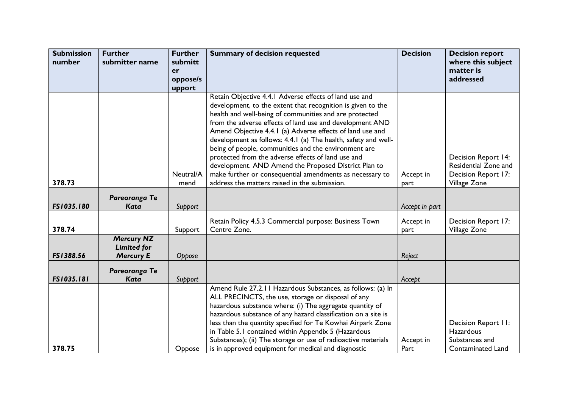| <b>Submission</b> | <b>Further</b>                                              | <b>Further</b>    | <b>Summary of decision requested</b>                                                                                                                                                                                                                                                                                                                                                                                                                                                                                                             | <b>Decision</b>   | <b>Decision report</b>                                                                |
|-------------------|-------------------------------------------------------------|-------------------|--------------------------------------------------------------------------------------------------------------------------------------------------------------------------------------------------------------------------------------------------------------------------------------------------------------------------------------------------------------------------------------------------------------------------------------------------------------------------------------------------------------------------------------------------|-------------------|---------------------------------------------------------------------------------------|
| number            | submitter name                                              | submitt<br>er     |                                                                                                                                                                                                                                                                                                                                                                                                                                                                                                                                                  |                   | where this subject<br>matter is                                                       |
|                   |                                                             | oppose/s          |                                                                                                                                                                                                                                                                                                                                                                                                                                                                                                                                                  |                   | addressed                                                                             |
|                   |                                                             | upport            |                                                                                                                                                                                                                                                                                                                                                                                                                                                                                                                                                  |                   |                                                                                       |
|                   |                                                             |                   | Retain Objective 4.4.1 Adverse effects of land use and<br>development, to the extent that recognition is given to the<br>health and well-being of communities and are protected<br>from the adverse effects of land use and development AND<br>Amend Objective 4.4.1 (a) Adverse effects of land use and<br>development as follows: 4.4.1 (a) The health, safety and well-<br>being of people, communities and the environment are<br>protected from the adverse effects of land use and<br>development. AND Amend the Proposed District Plan to |                   | Decision Report 14:<br>Residential Zone and                                           |
| 378.73            |                                                             | Neutral/A<br>mend | make further or consequential amendments as necessary to<br>address the matters raised in the submission.                                                                                                                                                                                                                                                                                                                                                                                                                                        | Accept in<br>part | Decision Report 17:<br>Village Zone                                                   |
| FS1035.180        | Pareoranga Te<br>Kata                                       | Support           |                                                                                                                                                                                                                                                                                                                                                                                                                                                                                                                                                  | Accept in part    |                                                                                       |
| 378.74            |                                                             | Support           | Retain Policy 4.5.3 Commercial purpose: Business Town<br>Centre Zone.                                                                                                                                                                                                                                                                                                                                                                                                                                                                            | Accept in<br>part | Decision Report 17:<br>Village Zone                                                   |
| FS1388.56         | <b>Mercury NZ</b><br><b>Limited for</b><br><b>Mercury E</b> | Oppose            |                                                                                                                                                                                                                                                                                                                                                                                                                                                                                                                                                  | Reject            |                                                                                       |
| FS1035.181        | Pareoranga Te<br><b>Kata</b>                                | Support           |                                                                                                                                                                                                                                                                                                                                                                                                                                                                                                                                                  | Accept            |                                                                                       |
| 378.75            |                                                             | Oppose            | Amend Rule 27.2.11 Hazardous Substances, as follows: (a) In<br>ALL PRECINCTS, the use, storage or disposal of any<br>hazardous substance where: (i) The aggregate quantity of<br>hazardous substance of any hazard classification on a site is<br>less than the quantity specified for Te Kowhai Airpark Zone<br>in Table 5.1 contained within Appendix 5 (Hazardous<br>Substances); (ii) The storage or use of radioactive materials<br>is in approved equipment for medical and diagnostic                                                     | Accept in<br>Part | Decision Report II:<br><b>Hazardous</b><br>Substances and<br><b>Contaminated Land</b> |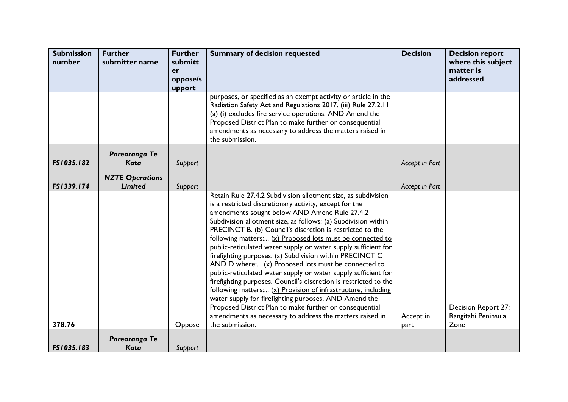| <b>Submission</b><br>number | <b>Further</b><br>submitter name | <b>Further</b><br>submitt | <b>Summary of decision requested</b>                                                                                     | <b>Decision</b> | <b>Decision report</b><br>where this subject |
|-----------------------------|----------------------------------|---------------------------|--------------------------------------------------------------------------------------------------------------------------|-----------------|----------------------------------------------|
|                             |                                  | er<br>oppose/s            |                                                                                                                          |                 | matter is<br>addressed                       |
|                             |                                  | upport                    |                                                                                                                          |                 |                                              |
|                             |                                  |                           | purposes, or specified as an exempt activity or article in the                                                           |                 |                                              |
|                             |                                  |                           | Radiation Safety Act and Regulations 2017. (iii) Rule 27.2.11<br>(a) (i) excludes fire service operations. AND Amend the |                 |                                              |
|                             |                                  |                           | Proposed District Plan to make further or consequential                                                                  |                 |                                              |
|                             |                                  |                           | amendments as necessary to address the matters raised in                                                                 |                 |                                              |
|                             |                                  |                           | the submission.                                                                                                          |                 |                                              |
|                             | Pareoranga Te                    |                           |                                                                                                                          |                 |                                              |
| FS1035.182                  | <b>Kata</b>                      | Support                   |                                                                                                                          | Accept in Part  |                                              |
|                             | <b>NZTE Operations</b>           |                           |                                                                                                                          |                 |                                              |
| FS1339.174                  | <b>Limited</b>                   | Support                   |                                                                                                                          | Accept in Part  |                                              |
|                             |                                  |                           | Retain Rule 27.4.2 Subdivision allotment size, as subdivision                                                            |                 |                                              |
|                             |                                  |                           | is a restricted discretionary activity, except for the                                                                   |                 |                                              |
|                             |                                  |                           | amendments sought below AND Amend Rule 27.4.2<br>Subdivision allotment size, as follows: (a) Subdivision within          |                 |                                              |
|                             |                                  |                           | PRECINCT B. (b) Council's discretion is restricted to the                                                                |                 |                                              |
|                             |                                  |                           | following matters: (x) Proposed lots must be connected to                                                                |                 |                                              |
|                             |                                  |                           | public-reticulated water supply or water supply sufficient for                                                           |                 |                                              |
|                             |                                  |                           | firefighting purposes. (a) Subdivision within PRECINCT C<br>AND D where: (x) Proposed lots must be connected to          |                 |                                              |
|                             |                                  |                           | public-reticulated water supply or water supply sufficient for                                                           |                 |                                              |
|                             |                                  |                           | firefighting purposes. Council's discretion is restricted to the                                                         |                 |                                              |
|                             |                                  |                           | following matters: (x) Provision of infrastructure, including                                                            |                 |                                              |
|                             |                                  |                           | water supply for firefighting purposes. AND Amend the                                                                    |                 |                                              |
|                             |                                  |                           | Proposed District Plan to make further or consequential<br>amendments as necessary to address the matters raised in      | Accept in       | Decision Report 27:<br>Rangitahi Peninsula   |
| 378.76                      |                                  | Oppose                    | the submission.                                                                                                          | part            | Zone                                         |
|                             |                                  |                           |                                                                                                                          |                 |                                              |
| FS1035.183                  | Pareoranga Te<br>Kata            | Support                   |                                                                                                                          |                 |                                              |
|                             |                                  |                           |                                                                                                                          |                 |                                              |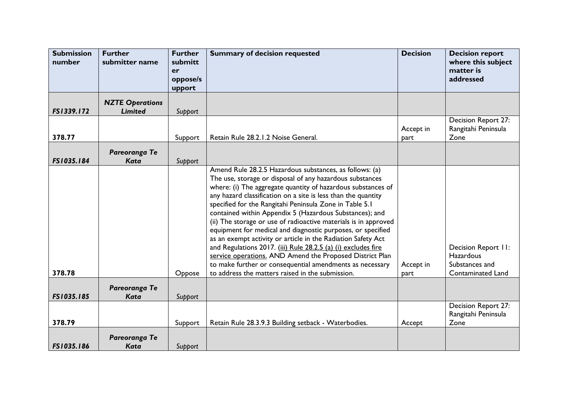| <b>Submission</b><br>number | <b>Further</b><br>submitter name         | <b>Further</b><br>submitt<br>er | <b>Summary of decision requested</b>                                                                                                                                                                                                                                                                                                                                                                                                                                                                                                                                                                                                                                                                                                                                                                                      | <b>Decision</b>   | <b>Decision report</b><br>where this subject<br>matter is<br>addressed                |
|-----------------------------|------------------------------------------|---------------------------------|---------------------------------------------------------------------------------------------------------------------------------------------------------------------------------------------------------------------------------------------------------------------------------------------------------------------------------------------------------------------------------------------------------------------------------------------------------------------------------------------------------------------------------------------------------------------------------------------------------------------------------------------------------------------------------------------------------------------------------------------------------------------------------------------------------------------------|-------------------|---------------------------------------------------------------------------------------|
|                             |                                          | oppose/s<br>upport              |                                                                                                                                                                                                                                                                                                                                                                                                                                                                                                                                                                                                                                                                                                                                                                                                                           |                   |                                                                                       |
| FS1339.172                  | <b>NZTE Operations</b><br><b>Limited</b> | Support                         |                                                                                                                                                                                                                                                                                                                                                                                                                                                                                                                                                                                                                                                                                                                                                                                                                           |                   |                                                                                       |
| 378.77                      |                                          | Support                         | Retain Rule 28.2.1.2 Noise General.                                                                                                                                                                                                                                                                                                                                                                                                                                                                                                                                                                                                                                                                                                                                                                                       | Accept in<br>part | Decision Report 27:<br>Rangitahi Peninsula<br>Zone                                    |
| FS1035.184                  | Pareoranga Te<br><b>Kata</b>             | Support                         |                                                                                                                                                                                                                                                                                                                                                                                                                                                                                                                                                                                                                                                                                                                                                                                                                           |                   |                                                                                       |
| 378.78                      |                                          | Oppose                          | Amend Rule 28.2.5 Hazardous substances, as follows: (a)<br>The use, storage or disposal of any hazardous substances<br>where: (i) The aggregate quantity of hazardous substances of<br>any hazard classification on a site is less than the quantity<br>specified for the Rangitahi Peninsula Zone in Table 5.1<br>contained within Appendix 5 (Hazardous Substances); and<br>(ii) The storage or use of radioactive materials is in approved<br>equipment for medical and diagnostic purposes, or specified<br>as an exempt activity or article in the Radiation Safety Act<br>and Regulations 2017. (iii) Rule 28.2.5 (a) (i) excludes fire<br>service operations. AND Amend the Proposed District Plan<br>to make further or consequential amendments as necessary<br>to address the matters raised in the submission. | Accept in<br>part | Decision Report II:<br><b>Hazardous</b><br>Substances and<br><b>Contaminated Land</b> |
| FS1035.185                  | Pareoranga Te<br><b>Kata</b>             | Support                         |                                                                                                                                                                                                                                                                                                                                                                                                                                                                                                                                                                                                                                                                                                                                                                                                                           |                   |                                                                                       |
| 378.79                      |                                          | Support                         | Retain Rule 28.3.9.3 Building setback - Waterbodies.                                                                                                                                                                                                                                                                                                                                                                                                                                                                                                                                                                                                                                                                                                                                                                      | Accept            | Decision Report 27:<br>Rangitahi Peninsula<br>Zone                                    |
| FS1035.186                  | Pareoranga Te<br>Kata                    | Support                         |                                                                                                                                                                                                                                                                                                                                                                                                                                                                                                                                                                                                                                                                                                                                                                                                                           |                   |                                                                                       |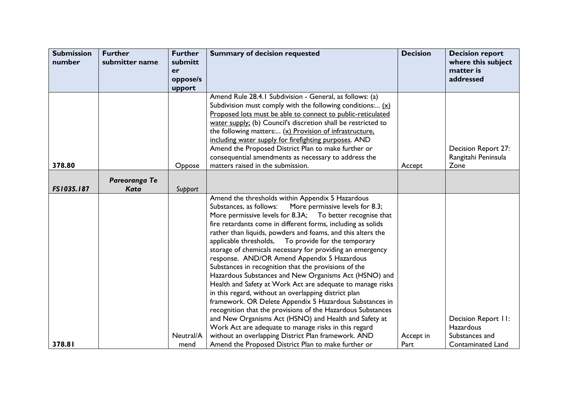| <b>Submission</b> | <b>Further</b> | <b>Further</b> | <b>Summary of decision requested</b>                                                                          | <b>Decision</b> | <b>Decision report</b>   |
|-------------------|----------------|----------------|---------------------------------------------------------------------------------------------------------------|-----------------|--------------------------|
| number            | submitter name | submitt        |                                                                                                               |                 | where this subject       |
|                   |                | er             |                                                                                                               |                 | matter is                |
|                   |                | oppose/s       |                                                                                                               |                 | addressed                |
|                   |                | upport         | Amend Rule 28.4.1 Subdivision - General, as follows: (a)                                                      |                 |                          |
|                   |                |                | Subdivision must comply with the following conditions: $(x)$                                                  |                 |                          |
|                   |                |                | Proposed lots must be able to connect to public-reticulated                                                   |                 |                          |
|                   |                |                | water supply; (b) Council's discretion shall be restricted to                                                 |                 |                          |
|                   |                |                | the following matters: (x) Provision of infrastructure.                                                       |                 |                          |
|                   |                |                | including water supply for firefighting purposes. AND                                                         |                 |                          |
|                   |                |                | Amend the Proposed District Plan to make further or                                                           |                 | Decision Report 27:      |
|                   |                |                | consequential amendments as necessary to address the                                                          |                 | Rangitahi Peninsula      |
| 378.80            |                | Oppose         | matters raised in the submission.                                                                             | Accept          | Zone                     |
|                   | Pareoranga Te  |                |                                                                                                               |                 |                          |
| FS1035.187        | <b>Kata</b>    | Support        |                                                                                                               |                 |                          |
|                   |                |                | Amend the thresholds within Appendix 5 Hazardous                                                              |                 |                          |
|                   |                |                | Substances, as follows:<br>More permissive levels for 8.3;                                                    |                 |                          |
|                   |                |                | More permissive levels for 8.3A; To better recognise that                                                     |                 |                          |
|                   |                |                | fire retardants come in different forms, including as solids                                                  |                 |                          |
|                   |                |                | rather than liquids, powders and foams, and this alters the                                                   |                 |                          |
|                   |                |                | To provide for the temporary<br>applicable thresholds,                                                        |                 |                          |
|                   |                |                | storage of chemicals necessary for providing an emergency                                                     |                 |                          |
|                   |                |                | response. AND/OR Amend Appendix 5 Hazardous                                                                   |                 |                          |
|                   |                |                | Substances in recognition that the provisions of the<br>Hazardous Substances and New Organisms Act (HSNO) and |                 |                          |
|                   |                |                | Health and Safety at Work Act are adequate to manage risks                                                    |                 |                          |
|                   |                |                | in this regard, without an overlapping district plan                                                          |                 |                          |
|                   |                |                | framework. OR Delete Appendix 5 Hazardous Substances in                                                       |                 |                          |
|                   |                |                | recognition that the provisions of the Hazardous Substances                                                   |                 |                          |
|                   |                |                | and New Organisms Act (HSNO) and Health and Safety at                                                         |                 | Decision Report II:      |
|                   |                |                | Work Act are adequate to manage risks in this regard                                                          |                 | <b>Hazardous</b>         |
|                   |                | Neutral/A      | without an overlapping District Plan framework. AND                                                           | Accept in       | Substances and           |
| 378.81            |                | mend           | Amend the Proposed District Plan to make further or                                                           | Part            | <b>Contaminated Land</b> |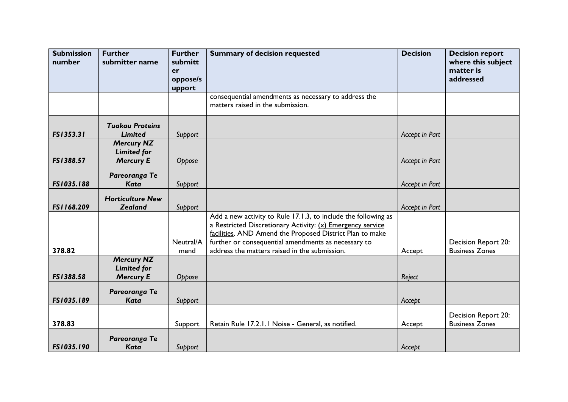| <b>Submission</b><br>number | <b>Further</b><br>submitter name                            | <b>Further</b><br>submitt<br>er | <b>Summary of decision requested</b>                                                                                                                                                     | <b>Decision</b> | <b>Decision report</b><br>where this subject<br>matter is |
|-----------------------------|-------------------------------------------------------------|---------------------------------|------------------------------------------------------------------------------------------------------------------------------------------------------------------------------------------|-----------------|-----------------------------------------------------------|
|                             |                                                             | oppose/s<br>upport              |                                                                                                                                                                                          |                 | addressed                                                 |
|                             |                                                             |                                 | consequential amendments as necessary to address the<br>matters raised in the submission.                                                                                                |                 |                                                           |
| FS1353.31                   | <b>Tuakau Proteins</b><br><b>Limited</b>                    | Support                         |                                                                                                                                                                                          | Accept in Part  |                                                           |
| FS1388.57                   | <b>Mercury NZ</b><br><b>Limited for</b><br><b>Mercury E</b> | Oppose                          |                                                                                                                                                                                          | Accept in Part  |                                                           |
| FS1035.188                  | Pareoranga Te<br><b>Kata</b>                                | Support                         |                                                                                                                                                                                          | Accept in Part  |                                                           |
| FS1168.209                  | <b>Horticulture New</b><br><b>Zealand</b>                   | Support                         |                                                                                                                                                                                          | Accept in Part  |                                                           |
|                             |                                                             |                                 | Add a new activity to Rule 17.1.3, to include the following as<br>a Restricted Discretionary Activity: (x) Emergency service<br>facilities. AND Amend the Proposed District Plan to make |                 |                                                           |
| 378.82                      |                                                             | Neutral/A<br>mend               | further or consequential amendments as necessary to<br>address the matters raised in the submission.                                                                                     | Accept          | Decision Report 20:<br><b>Business Zones</b>              |
| FS1388.58                   | <b>Mercury NZ</b><br><b>Limited for</b><br><b>Mercury E</b> | Oppose                          |                                                                                                                                                                                          | Reject          |                                                           |
| FS1035.189                  | Pareoranga Te<br><b>Kata</b>                                | Support                         |                                                                                                                                                                                          | Accept          |                                                           |
| 378.83                      |                                                             | Support                         | Retain Rule 17.2.1.1 Noise - General, as notified.                                                                                                                                       | Accept          | Decision Report 20:<br><b>Business Zones</b>              |
| FS1035.190                  | Pareoranga Te<br><b>Kata</b>                                | Support                         |                                                                                                                                                                                          | Accept          |                                                           |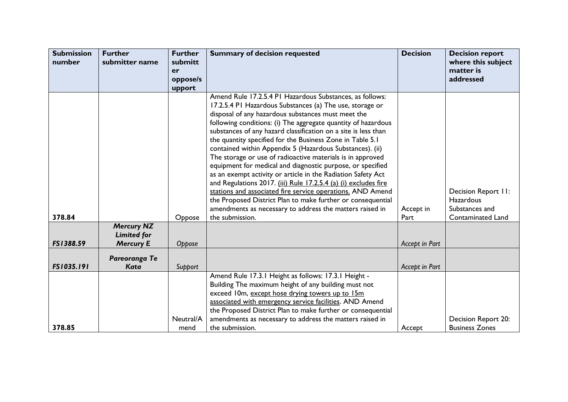| <b>Submission</b><br>number | <b>Further</b><br>submitter name       | <b>Further</b><br>submitt<br>er<br>oppose/s<br>upport | <b>Summary of decision requested</b>                                                                                                                                                                                                                                                                                                                                                                                                                                                                                                                                                                                                                                                                                                                                                                                                                                                                              | <b>Decision</b>   | <b>Decision report</b><br>where this subject<br>matter is<br>addressed                |
|-----------------------------|----------------------------------------|-------------------------------------------------------|-------------------------------------------------------------------------------------------------------------------------------------------------------------------------------------------------------------------------------------------------------------------------------------------------------------------------------------------------------------------------------------------------------------------------------------------------------------------------------------------------------------------------------------------------------------------------------------------------------------------------------------------------------------------------------------------------------------------------------------------------------------------------------------------------------------------------------------------------------------------------------------------------------------------|-------------------|---------------------------------------------------------------------------------------|
| 378.84                      | <b>Mercury NZ</b>                      | Oppose                                                | Amend Rule 17.2.5.4 PI Hazardous Substances, as follows:<br>17.2.5.4 PI Hazardous Substances (a) The use, storage or<br>disposal of any hazardous substances must meet the<br>following conditions: (i) The aggregate quantity of hazardous<br>substances of any hazard classification on a site is less than<br>the quantity specified for the Business Zone in Table 5.1<br>contained within Appendix 5 (Hazardous Substances). (ii)<br>The storage or use of radioactive materials is in approved<br>equipment for medical and diagnostic purpose, or specified<br>as an exempt activity or article in the Radiation Safety Act<br>and Regulations 2017. (iii) Rule 17.2.5.4 (a) (i) excludes fire<br>stations and associated fire service operations. AND Amend<br>the Proposed District Plan to make further or consequential<br>amendments as necessary to address the matters raised in<br>the submission. | Accept in<br>Part | Decision Report II:<br><b>Hazardous</b><br>Substances and<br><b>Contaminated Land</b> |
| FS1388.59                   | <b>Limited for</b><br><b>Mercury E</b> | Oppose                                                |                                                                                                                                                                                                                                                                                                                                                                                                                                                                                                                                                                                                                                                                                                                                                                                                                                                                                                                   | Accept in Part    |                                                                                       |
| FS1035.191                  | Pareoranga Te<br><b>Kata</b>           | Support                                               |                                                                                                                                                                                                                                                                                                                                                                                                                                                                                                                                                                                                                                                                                                                                                                                                                                                                                                                   | Accept in Part    |                                                                                       |
| 378.85                      |                                        | Neutral/A<br>mend                                     | Amend Rule 17.3.1 Height as follows: 17.3.1 Height -<br>Building The maximum height of any building must not<br>exceed 10m, except hose drying towers up to 15m<br>associated with emergency service facilities. AND Amend<br>the Proposed District Plan to make further or consequential<br>amendments as necessary to address the matters raised in<br>the submission.                                                                                                                                                                                                                                                                                                                                                                                                                                                                                                                                          | Accept            | Decision Report 20:<br><b>Business Zones</b>                                          |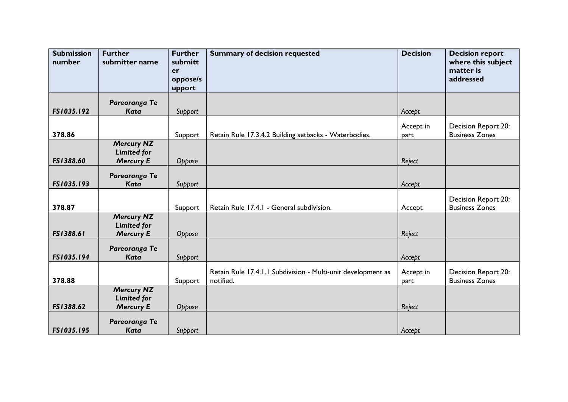| <b>Submission</b><br>number | <b>Further</b><br>submitter name                            | <b>Further</b><br>submitt<br>er<br>oppose/s<br>upport | <b>Summary of decision requested</b>                                      | <b>Decision</b>   | <b>Decision report</b><br>where this subject<br>matter is<br>addressed |
|-----------------------------|-------------------------------------------------------------|-------------------------------------------------------|---------------------------------------------------------------------------|-------------------|------------------------------------------------------------------------|
| FS1035.192                  | Pareoranga Te<br><b>Kata</b>                                | Support                                               |                                                                           | Accept            |                                                                        |
| 378.86                      |                                                             | Support                                               | Retain Rule 17.3.4.2 Building setbacks - Waterbodies.                     | Accept in<br>part | Decision Report 20:<br><b>Business Zones</b>                           |
| FS1388.60                   | <b>Mercury NZ</b><br><b>Limited for</b><br><b>Mercury E</b> | Oppose                                                |                                                                           | Reject            |                                                                        |
| FS1035.193                  | Pareoranga Te<br><b>Kata</b>                                | Support                                               |                                                                           | Accept            |                                                                        |
| 378.87                      |                                                             | Support                                               | Retain Rule 17.4.1 - General subdivision.                                 | Accept            | Decision Report 20:<br><b>Business Zones</b>                           |
| FS1388.61                   | <b>Mercury NZ</b><br><b>Limited for</b><br><b>Mercury E</b> | Oppose                                                |                                                                           | Reject            |                                                                        |
| FS1035.194                  | Pareoranga Te<br><b>Kata</b>                                | Support                                               |                                                                           | Accept            |                                                                        |
| 378.88                      |                                                             | Support                                               | Retain Rule 17.4.1.1 Subdivision - Multi-unit development as<br>notified. | Accept in<br>part | Decision Report 20:<br><b>Business Zones</b>                           |
| FS1388.62                   | <b>Mercury NZ</b><br><b>Limited for</b><br><b>Mercury E</b> | Oppose                                                |                                                                           | Reject            |                                                                        |
| FS1035.195                  | Pareoranga Te<br><b>Kata</b>                                | Support                                               |                                                                           | Accept            |                                                                        |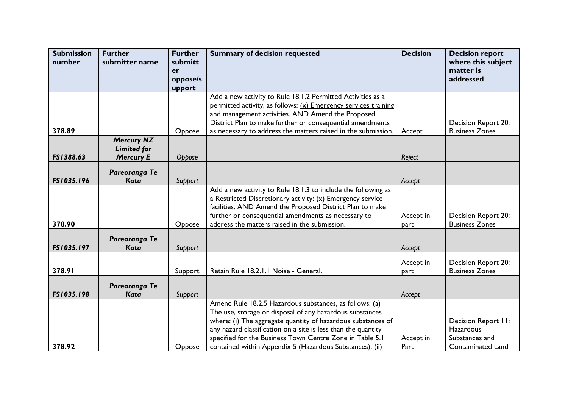| <b>Submission</b><br>number | <b>Further</b><br>submitter name | <b>Further</b><br>submitt | <b>Summary of decision requested</b>                            | <b>Decision</b> | <b>Decision report</b><br>where this subject |
|-----------------------------|----------------------------------|---------------------------|-----------------------------------------------------------------|-----------------|----------------------------------------------|
|                             |                                  | er                        |                                                                 |                 | matter is                                    |
|                             |                                  | oppose/s                  |                                                                 |                 | addressed                                    |
|                             |                                  | upport                    |                                                                 |                 |                                              |
|                             |                                  |                           | Add a new activity to Rule 18.1.2 Permitted Activities as a     |                 |                                              |
|                             |                                  |                           | permitted activity, as follows: (x) Emergency services training |                 |                                              |
|                             |                                  |                           | and management activities. AND Amend the Proposed               |                 |                                              |
|                             |                                  |                           | District Plan to make further or consequential amendments       |                 | Decision Report 20:                          |
| 378.89                      |                                  | Oppose                    | as necessary to address the matters raised in the submission.   | Accept          | <b>Business Zones</b>                        |
|                             | <b>Mercury NZ</b>                |                           |                                                                 |                 |                                              |
|                             | <b>Limited for</b>               |                           |                                                                 |                 |                                              |
| FS1388.63                   | <b>Mercury E</b>                 | Oppose                    |                                                                 | Reject          |                                              |
|                             | Pareoranga Te                    |                           |                                                                 |                 |                                              |
| FS1035.196                  | Kata                             | Support                   |                                                                 | Accept          |                                              |
|                             |                                  |                           | Add a new activity to Rule 18.1.3 to include the following as   |                 |                                              |
|                             |                                  |                           | a Restricted Discretionary activity: (x) Emergency service      |                 |                                              |
|                             |                                  |                           | facilities. AND Amend the Proposed District Plan to make        |                 |                                              |
|                             |                                  |                           | further or consequential amendments as necessary to             | Accept in       | Decision Report 20:                          |
| 378.90                      |                                  | Oppose                    | address the matters raised in the submission.                   | part            | <b>Business Zones</b>                        |
|                             |                                  |                           |                                                                 |                 |                                              |
|                             | Pareoranga Te                    |                           |                                                                 |                 |                                              |
| FS1035.197                  | Kata                             | Support                   |                                                                 | Accept          |                                              |
|                             |                                  |                           |                                                                 | Accept in       | Decision Report 20:                          |
| 378.91                      |                                  | Support                   | Retain Rule 18.2.1.1 Noise - General.                           | part            | <b>Business Zones</b>                        |
|                             |                                  |                           |                                                                 |                 |                                              |
|                             | Pareoranga Te                    |                           |                                                                 |                 |                                              |
| FS1035.198                  | <b>Kata</b>                      | Support                   |                                                                 | Accept          |                                              |
|                             |                                  |                           | Amend Rule 18.2.5 Hazardous substances, as follows: (a)         |                 |                                              |
|                             |                                  |                           | The use, storage or disposal of any hazardous substances        |                 |                                              |
|                             |                                  |                           | where: (i) The aggregate quantity of hazardous substances of    |                 | Decision Report II:                          |
|                             |                                  |                           | any hazard classification on a site is less than the quantity   |                 | Hazardous                                    |
|                             |                                  |                           | specified for the Business Town Centre Zone in Table 5.1        | Accept in       | Substances and                               |
| 378.92                      |                                  | Oppose                    | contained within Appendix 5 (Hazardous Substances). (ii)        | Part            | <b>Contaminated Land</b>                     |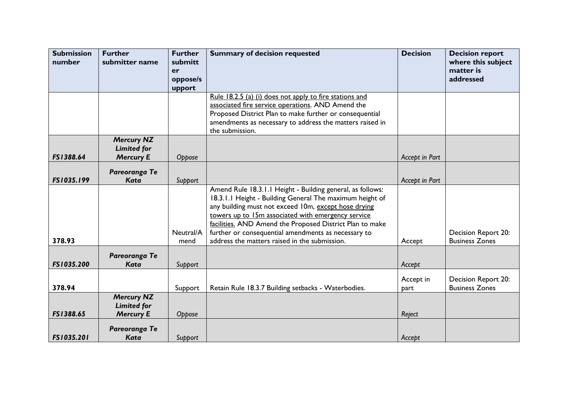| <b>Submission</b> | <b>Further</b>                          | <b>Further</b> | <b>Summary of decision requested</b>                                                                                | <b>Decision</b> | <b>Decision report</b>          |
|-------------------|-----------------------------------------|----------------|---------------------------------------------------------------------------------------------------------------------|-----------------|---------------------------------|
| number            | submitter name                          | submitt<br>er  |                                                                                                                     |                 | where this subject<br>matter is |
|                   |                                         | oppose/s       |                                                                                                                     |                 | addressed                       |
|                   |                                         | upport         |                                                                                                                     |                 |                                 |
|                   |                                         |                | Rule 18.2.5 (a) (i) does not apply to fire stations and                                                             |                 |                                 |
|                   |                                         |                | associated fire service operations. AND Amend the                                                                   |                 |                                 |
|                   |                                         |                | Proposed District Plan to make further or consequential<br>amendments as necessary to address the matters raised in |                 |                                 |
|                   |                                         |                | the submission.                                                                                                     |                 |                                 |
|                   | <b>Mercury NZ</b>                       |                |                                                                                                                     |                 |                                 |
|                   | <b>Limited for</b>                      |                |                                                                                                                     |                 |                                 |
| FS1388.64         | <b>Mercury E</b>                        | Oppose         |                                                                                                                     | Accept in Part  |                                 |
|                   | Pareoranga Te                           |                |                                                                                                                     |                 |                                 |
| FS1035.199        | Kata                                    | Support        |                                                                                                                     | Accept in Part  |                                 |
|                   |                                         |                | Amend Rule 18.3.1.1 Height - Building general, as follows:                                                          |                 |                                 |
|                   |                                         |                | 18.3.1.1 Height - Building General The maximum height of                                                            |                 |                                 |
|                   |                                         |                | any building must not exceed 10m, except hose drying                                                                |                 |                                 |
|                   |                                         |                | towers up to 15m associated with emergency service<br>facilities. AND Amend the Proposed District Plan to make      |                 |                                 |
|                   |                                         | Neutral/A      | further or consequential amendments as necessary to                                                                 |                 | Decision Report 20:             |
| 378.93            |                                         | mend           | address the matters raised in the submission.                                                                       | Accept          | <b>Business Zones</b>           |
|                   |                                         |                |                                                                                                                     |                 |                                 |
| FS1035.200        | Pareoranga Te<br><b>Kata</b>            | Support        |                                                                                                                     | Accept          |                                 |
|                   |                                         |                |                                                                                                                     |                 |                                 |
|                   |                                         |                |                                                                                                                     | Accept in       | Decision Report 20:             |
| 378.94            |                                         | Support        | Retain Rule 18.3.7 Building setbacks - Waterbodies.                                                                 | part            | <b>Business Zones</b>           |
|                   | <b>Mercury NZ</b><br><b>Limited for</b> |                |                                                                                                                     |                 |                                 |
| FS1388.65         | <b>Mercury E</b>                        | Oppose         |                                                                                                                     | Reject          |                                 |
|                   |                                         |                |                                                                                                                     |                 |                                 |
| FS1035.201        | Pareoranga Te<br><b>Kata</b>            | Support        |                                                                                                                     | Accept          |                                 |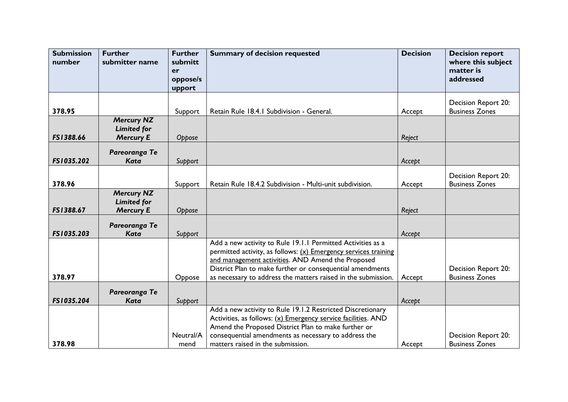| <b>Submission</b> | <b>Further</b>     | <b>Further</b>    | <b>Summary of decision requested</b>                                                                                             | <b>Decision</b> | <b>Decision report</b>                       |
|-------------------|--------------------|-------------------|----------------------------------------------------------------------------------------------------------------------------------|-----------------|----------------------------------------------|
| number            | submitter name     | submitt<br>er     |                                                                                                                                  |                 | where this subject<br>matter is              |
|                   |                    | oppose/s          |                                                                                                                                  |                 | addressed                                    |
|                   |                    | upport            |                                                                                                                                  |                 |                                              |
|                   |                    |                   |                                                                                                                                  |                 | Decision Report 20:                          |
| 378.95            |                    | Support           | Retain Rule 18.4.1 Subdivision - General.                                                                                        | Accept          | <b>Business Zones</b>                        |
|                   | <b>Mercury NZ</b>  |                   |                                                                                                                                  |                 |                                              |
|                   | <b>Limited for</b> |                   |                                                                                                                                  |                 |                                              |
| FS1388.66         | <b>Mercury E</b>   | Oppose            |                                                                                                                                  | Reject          |                                              |
|                   | Pareoranga Te      |                   |                                                                                                                                  |                 |                                              |
| FS1035.202        | <b>Kata</b>        | Support           |                                                                                                                                  | Accept          |                                              |
|                   |                    |                   |                                                                                                                                  |                 | Decision Report 20:                          |
| 378.96            |                    | Support           | Retain Rule 18.4.2 Subdivision - Multi-unit subdivision.                                                                         | Accept          | <b>Business Zones</b>                        |
|                   | <b>Mercury NZ</b>  |                   |                                                                                                                                  |                 |                                              |
| FS1388.67         | <b>Limited for</b> |                   |                                                                                                                                  |                 |                                              |
|                   | <b>Mercury E</b>   | Oppose            |                                                                                                                                  | Reject          |                                              |
|                   | Pareoranga Te      |                   |                                                                                                                                  |                 |                                              |
| FS1035.203        | <b>Kata</b>        | Support           |                                                                                                                                  | Accept          |                                              |
|                   |                    |                   | Add a new activity to Rule 19.1.1 Permitted Activities as a<br>permitted activity, as follows: $(x)$ Emergency services training |                 |                                              |
|                   |                    |                   | and management activities. AND Amend the Proposed                                                                                |                 |                                              |
|                   |                    |                   | District Plan to make further or consequential amendments                                                                        |                 | Decision Report 20:                          |
| 378.97            |                    | Oppose            | as necessary to address the matters raised in the submission.                                                                    | Accept          | <b>Business Zones</b>                        |
|                   | Pareoranga Te      |                   |                                                                                                                                  |                 |                                              |
| FS1035.204        | <b>Kata</b>        | Support           |                                                                                                                                  | Accept          |                                              |
|                   |                    |                   | Add a new activity to Rule 19.1.2 Restricted Discretionary                                                                       |                 |                                              |
|                   |                    |                   | Activities, as follows: (x) Emergency service facilities. AND                                                                    |                 |                                              |
|                   |                    |                   | Amend the Proposed District Plan to make further or                                                                              |                 |                                              |
| 378.98            |                    | Neutral/A<br>mend | consequential amendments as necessary to address the<br>matters raised in the submission.                                        | Accept          | Decision Report 20:<br><b>Business Zones</b> |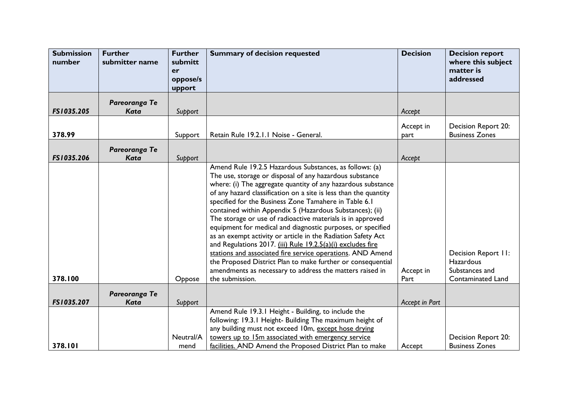| <b>Submission</b><br>number | <b>Further</b><br>submitter name | <b>Further</b><br>submitt<br>er<br>oppose/s<br>upport | <b>Summary of decision requested</b>                                                                                                                                                                                                                                                                                                                                                                                                                                                                                                                                                                                                                                                                                                                                                                                                                | <b>Decision</b>   | <b>Decision report</b><br>where this subject<br>matter is<br>addressed                |
|-----------------------------|----------------------------------|-------------------------------------------------------|-----------------------------------------------------------------------------------------------------------------------------------------------------------------------------------------------------------------------------------------------------------------------------------------------------------------------------------------------------------------------------------------------------------------------------------------------------------------------------------------------------------------------------------------------------------------------------------------------------------------------------------------------------------------------------------------------------------------------------------------------------------------------------------------------------------------------------------------------------|-------------------|---------------------------------------------------------------------------------------|
| FS1035.205                  | Pareoranga Te<br>Kata            | Support                                               |                                                                                                                                                                                                                                                                                                                                                                                                                                                                                                                                                                                                                                                                                                                                                                                                                                                     | Accept            |                                                                                       |
| 378.99                      |                                  | Support                                               | Retain Rule 19.2.1.1 Noise - General.                                                                                                                                                                                                                                                                                                                                                                                                                                                                                                                                                                                                                                                                                                                                                                                                               | Accept in<br>part | Decision Report 20:<br><b>Business Zones</b>                                          |
| FS1035.206                  | Pareoranga Te<br><b>Kata</b>     | Support                                               |                                                                                                                                                                                                                                                                                                                                                                                                                                                                                                                                                                                                                                                                                                                                                                                                                                                     | Accept            |                                                                                       |
| 378.100                     |                                  | Oppose                                                | Amend Rule 19.2.5 Hazardous Substances, as follows: (a)<br>The use, storage or disposal of any hazardous substance<br>where: (i) The aggregate quantity of any hazardous substance<br>of any hazard classification on a site is less than the quantity<br>specified for the Business Zone Tamahere in Table 6.1<br>contained within Appendix 5 (Hazardous Substances); (ii)<br>The storage or use of radioactive materials is in approved<br>equipment for medical and diagnostic purposes, or specified<br>as an exempt activity or article in the Radiation Safety Act<br>and Regulations 2017. (iii) Rule 19.2.5(a)(i) excludes fire<br>stations and associated fire service operations. AND Amend<br>the Proposed District Plan to make further or consequential<br>amendments as necessary to address the matters raised in<br>the submission. | Accept in<br>Part | Decision Report II:<br><b>Hazardous</b><br>Substances and<br><b>Contaminated Land</b> |
| FS1035.207                  | Pareoranga Te<br><b>Kata</b>     | Support                                               |                                                                                                                                                                                                                                                                                                                                                                                                                                                                                                                                                                                                                                                                                                                                                                                                                                                     | Accept in Part    |                                                                                       |
| 378.101                     |                                  | Neutral/A<br>mend                                     | Amend Rule 19.3.1 Height - Building, to include the<br>following: 19.3.1 Height- Building The maximum height of<br>any building must not exceed 10m, except hose drying<br>towers up to 15m associated with emergency service<br>facilities. AND Amend the Proposed District Plan to make                                                                                                                                                                                                                                                                                                                                                                                                                                                                                                                                                           | Accept            | Decision Report 20:<br><b>Business Zones</b>                                          |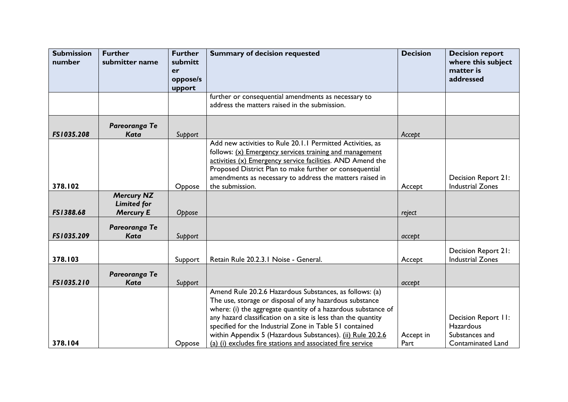| <b>Submission</b><br>number | <b>Further</b><br>submitter name | <b>Further</b><br>submitt | <b>Summary of decision requested</b>                          | <b>Decision</b> | <b>Decision report</b><br>where this subject |
|-----------------------------|----------------------------------|---------------------------|---------------------------------------------------------------|-----------------|----------------------------------------------|
|                             |                                  | er                        |                                                               |                 | matter is                                    |
|                             |                                  | oppose/s                  |                                                               |                 | addressed                                    |
|                             |                                  | upport                    |                                                               |                 |                                              |
|                             |                                  |                           | further or consequential amendments as necessary to           |                 |                                              |
|                             |                                  |                           | address the matters raised in the submission.                 |                 |                                              |
|                             | Pareoranga Te                    |                           |                                                               |                 |                                              |
| FS1035.208                  | <b>Kata</b>                      | Support                   |                                                               | Accept          |                                              |
|                             |                                  |                           | Add new activities to Rule 20.1.1 Permitted Activities, as    |                 |                                              |
|                             |                                  |                           | follows: (x) Emergency services training and management       |                 |                                              |
|                             |                                  |                           | activities (x) Emergency service facilities. AND Amend the    |                 |                                              |
|                             |                                  |                           | Proposed District Plan to make further or consequential       |                 |                                              |
|                             |                                  |                           | amendments as necessary to address the matters raised in      |                 | Decision Report 21:                          |
| 378.102                     |                                  | Oppose                    | the submission.                                               | Accept          | <b>Industrial Zones</b>                      |
|                             | <b>Mercury NZ</b>                |                           |                                                               |                 |                                              |
|                             | <b>Limited for</b>               |                           |                                                               |                 |                                              |
| FS1388.68                   | <b>Mercury E</b>                 | Oppose                    |                                                               | reject          |                                              |
|                             | Pareoranga Te                    |                           |                                                               |                 |                                              |
| FS1035.209                  | Kata                             | Support                   |                                                               | accept          |                                              |
|                             |                                  |                           |                                                               |                 |                                              |
|                             |                                  |                           |                                                               |                 | <b>Decision Report 21:</b>                   |
| 378.103                     |                                  | Support                   | Retain Rule 20.2.3.1 Noise - General.                         | Accept          | <b>Industrial Zones</b>                      |
|                             | Pareoranga Te                    |                           |                                                               |                 |                                              |
| FS1035.210                  | <b>Kata</b>                      | Support                   |                                                               | accept          |                                              |
|                             |                                  |                           | Amend Rule 20.2.6 Hazardous Substances, as follows: (a)       |                 |                                              |
|                             |                                  |                           | The use, storage or disposal of any hazardous substance       |                 |                                              |
|                             |                                  |                           | where: (i) the aggregate quantity of a hazardous substance of |                 |                                              |
|                             |                                  |                           | any hazard classification on a site is less than the quantity |                 | Decision Report 11:                          |
|                             |                                  |                           | specified for the Industrial Zone in Table 51 contained       |                 | <b>Hazardous</b>                             |
|                             |                                  |                           | within Appendix 5 (Hazardous Substances). (ii) Rule 20.2.6    | Accept in       | Substances and                               |
| 378.104                     |                                  | Oppose                    | (a) (i) excludes fire stations and associated fire service    | Part            | Contaminated Land                            |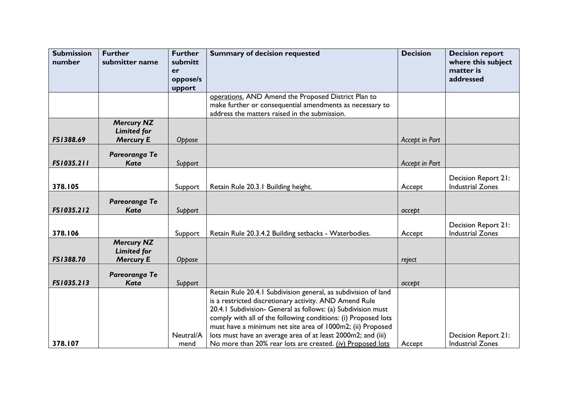| <b>Submission</b> | <b>Further</b>                         | <b>Further</b> | <b>Summary of decision requested</b>                                                                                           | <b>Decision</b> | <b>Decision report</b>          |
|-------------------|----------------------------------------|----------------|--------------------------------------------------------------------------------------------------------------------------------|-----------------|---------------------------------|
| number            | submitter name                         | submitt        |                                                                                                                                |                 | where this subject<br>matter is |
|                   |                                        | er<br>oppose/s |                                                                                                                                |                 | addressed                       |
|                   |                                        | upport         |                                                                                                                                |                 |                                 |
|                   |                                        |                | operations. AND Amend the Proposed District Plan to                                                                            |                 |                                 |
|                   |                                        |                | make further or consequential amendments as necessary to                                                                       |                 |                                 |
|                   |                                        |                | address the matters raised in the submission.                                                                                  |                 |                                 |
|                   | <b>Mercury NZ</b>                      |                |                                                                                                                                |                 |                                 |
| FS1388.69         | <b>Limited for</b><br><b>Mercury E</b> |                |                                                                                                                                | Accept in Part  |                                 |
|                   |                                        | Oppose         |                                                                                                                                |                 |                                 |
|                   | Pareoranga Te                          |                |                                                                                                                                |                 |                                 |
| FS1035.211        | <b>Kata</b>                            | Support        |                                                                                                                                | Accept in Part  |                                 |
|                   |                                        |                |                                                                                                                                |                 | Decision Report 21:             |
| 378.105           |                                        | Support        | Retain Rule 20.3.1 Building height.                                                                                            | Accept          | <b>Industrial Zones</b>         |
|                   |                                        |                |                                                                                                                                |                 |                                 |
| FS1035.212        | Pareoranga Te<br><b>Kata</b>           |                |                                                                                                                                |                 |                                 |
|                   |                                        | Support        |                                                                                                                                | accept          |                                 |
|                   |                                        |                |                                                                                                                                |                 | Decision Report 21:             |
| 378.106           |                                        | Support        | Retain Rule 20.3.4.2 Building setbacks - Waterbodies.                                                                          | Accept          | <b>Industrial Zones</b>         |
|                   | <b>Mercury NZ</b>                      |                |                                                                                                                                |                 |                                 |
| FS1388.70         | <b>Limited for</b><br><b>Mercury E</b> |                |                                                                                                                                |                 |                                 |
|                   |                                        | Oppose         |                                                                                                                                | reject          |                                 |
|                   | Pareoranga Te                          |                |                                                                                                                                |                 |                                 |
| FS1035.213        | <b>Kata</b>                            | Support        |                                                                                                                                | accept          |                                 |
|                   |                                        |                | Retain Rule 20.4.1 Subdivision general, as subdivision of land                                                                 |                 |                                 |
|                   |                                        |                | is a restricted discretionary activity. AND Amend Rule                                                                         |                 |                                 |
|                   |                                        |                | 20.4.1 Subdivision- General as follows: (a) Subdivision must<br>comply with all of the following conditions: (i) Proposed lots |                 |                                 |
|                   |                                        |                | must have a minimum net site area of 1000m2; (ii) Proposed                                                                     |                 |                                 |
|                   |                                        | Neutral/A      | lots must have an average area of at least 2000m2; and (iii)                                                                   |                 | Decision Report 21:             |
| 378.107           |                                        | mend           | No more than 20% rear lots are created. (iv) Proposed lots                                                                     | Accept          | <b>Industrial Zones</b>         |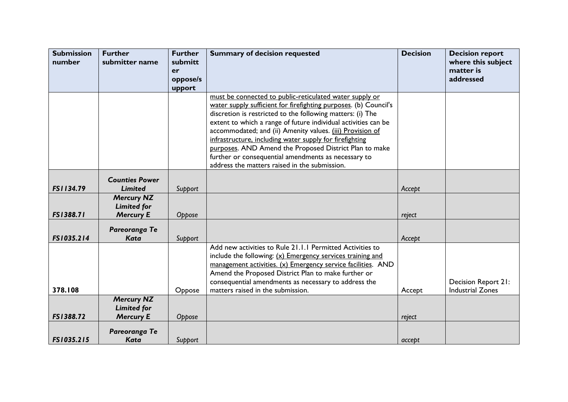| <b>Submission</b> | <b>Further</b>                         | <b>Further</b> | <b>Summary of decision requested</b>                                                                                | <b>Decision</b> | <b>Decision report</b>          |
|-------------------|----------------------------------------|----------------|---------------------------------------------------------------------------------------------------------------------|-----------------|---------------------------------|
| number            | submitter name                         | submitt<br>er  |                                                                                                                     |                 | where this subject<br>matter is |
|                   |                                        | oppose/s       |                                                                                                                     |                 | addressed                       |
|                   |                                        | upport         |                                                                                                                     |                 |                                 |
|                   |                                        |                | must be connected to public-reticulated water supply or                                                             |                 |                                 |
|                   |                                        |                | water supply sufficient for firefighting purposes. (b) Council's                                                    |                 |                                 |
|                   |                                        |                | discretion is restricted to the following matters: (i) The                                                          |                 |                                 |
|                   |                                        |                | extent to which a range of future individual activities can be                                                      |                 |                                 |
|                   |                                        |                | accommodated; and (ii) Amenity values. (iii) Provision of                                                           |                 |                                 |
|                   |                                        |                | infrastructure, including water supply for firefighting<br>purposes. AND Amend the Proposed District Plan to make   |                 |                                 |
|                   |                                        |                | further or consequential amendments as necessary to                                                                 |                 |                                 |
|                   |                                        |                | address the matters raised in the submission.                                                                       |                 |                                 |
|                   |                                        |                |                                                                                                                     |                 |                                 |
|                   | <b>Counties Power</b>                  |                |                                                                                                                     |                 |                                 |
| FS1134.79         | <b>Limited</b>                         | Support        |                                                                                                                     | Accept          |                                 |
|                   | <b>Mercury NZ</b>                      |                |                                                                                                                     |                 |                                 |
| FS1388.71         | <b>Limited for</b><br><b>Mercury E</b> | Oppose         |                                                                                                                     | reject          |                                 |
|                   |                                        |                |                                                                                                                     |                 |                                 |
|                   | Pareoranga Te                          |                |                                                                                                                     |                 |                                 |
| FS1035.214        | <b>Kata</b>                            | Support        |                                                                                                                     | Accept          |                                 |
|                   |                                        |                | Add new activities to Rule 21.1.1 Permitted Activities to                                                           |                 |                                 |
|                   |                                        |                | include the following: $(x)$ Emergency services training and                                                        |                 |                                 |
|                   |                                        |                | management activities. (x) Emergency service facilities. AND<br>Amend the Proposed District Plan to make further or |                 |                                 |
|                   |                                        |                | consequential amendments as necessary to address the                                                                |                 | Decision Report 21:             |
| 378.108           |                                        | Oppose         | matters raised in the submission.                                                                                   | Accept          | <b>Industrial Zones</b>         |
|                   | <b>Mercury NZ</b>                      |                |                                                                                                                     |                 |                                 |
|                   | <b>Limited for</b>                     |                |                                                                                                                     |                 |                                 |
| FS1388.72         | <b>Mercury E</b>                       | Oppose         |                                                                                                                     | reject          |                                 |
|                   | Pareoranga Te                          |                |                                                                                                                     |                 |                                 |
| FS1035.215        | <b>Kata</b>                            | Support        |                                                                                                                     | accept          |                                 |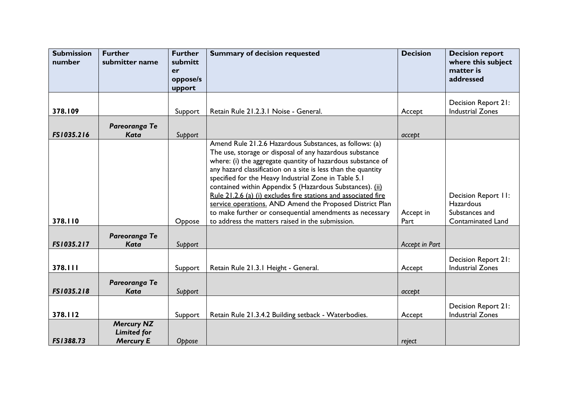| <b>Submission</b><br>number | <b>Further</b><br>submitter name | <b>Further</b><br>submitt | <b>Summary of decision requested</b>                                                                                       | <b>Decision</b> | <b>Decision report</b><br>where this subject |
|-----------------------------|----------------------------------|---------------------------|----------------------------------------------------------------------------------------------------------------------------|-----------------|----------------------------------------------|
|                             |                                  | er<br>oppose/s            |                                                                                                                            |                 | matter is<br>addressed                       |
|                             |                                  | upport                    |                                                                                                                            |                 |                                              |
|                             |                                  |                           |                                                                                                                            |                 | Decision Report 21:                          |
| 378.109                     |                                  | Support                   | Retain Rule 21.2.3.1 Noise - General.                                                                                      | Accept          | <b>Industrial Zones</b>                      |
|                             | Pareoranga Te                    |                           |                                                                                                                            |                 |                                              |
| FS1035.216                  | <b>Kata</b>                      | Support                   |                                                                                                                            | accept          |                                              |
|                             |                                  |                           | Amend Rule 21.2.6 Hazardous Substances, as follows: (a)                                                                    |                 |                                              |
|                             |                                  |                           | The use, storage or disposal of any hazardous substance<br>where: (i) the aggregate quantity of hazardous substance of     |                 |                                              |
|                             |                                  |                           | any hazard classification on a site is less than the quantity                                                              |                 |                                              |
|                             |                                  |                           | specified for the Heavy Industrial Zone in Table 5.1                                                                       |                 |                                              |
|                             |                                  |                           | contained within Appendix 5 (Hazardous Substances). (ii)                                                                   |                 |                                              |
|                             |                                  |                           | Rule 21.2.6 (a) (i) excludes fire stations and associated fire<br>service operations. AND Amend the Proposed District Plan |                 | Decision Report II:<br><b>Hazardous</b>      |
|                             |                                  |                           | to make further or consequential amendments as necessary                                                                   | Accept in       | Substances and                               |
| 378.110                     |                                  | Oppose                    | to address the matters raised in the submission.                                                                           | Part            | <b>Contaminated Land</b>                     |
|                             | Pareoranga Te                    |                           |                                                                                                                            |                 |                                              |
| FS1035.217                  | Kata                             | Support                   |                                                                                                                            | Accept in Part  |                                              |
|                             |                                  |                           |                                                                                                                            |                 | <b>Decision Report 21:</b>                   |
| 378.111                     |                                  | Support                   | Retain Rule 21.3.1 Height - General.                                                                                       | Accept          | <b>Industrial Zones</b>                      |
|                             | Pareoranga Te                    |                           |                                                                                                                            |                 |                                              |
| FS1035.218                  | <b>Kata</b>                      | Support                   |                                                                                                                            | accept          |                                              |
|                             |                                  |                           |                                                                                                                            |                 | <b>Decision Report 21:</b>                   |
| 378.112                     |                                  | Support                   | Retain Rule 21.3.4.2 Building setback - Waterbodies.                                                                       | Accept          | <b>Industrial Zones</b>                      |
|                             | <b>Mercury NZ</b>                |                           |                                                                                                                            |                 |                                              |
| FS1388.73                   | <b>Limited for</b>               |                           |                                                                                                                            |                 |                                              |
|                             | <b>Mercury E</b>                 | Oppose                    |                                                                                                                            | reject          |                                              |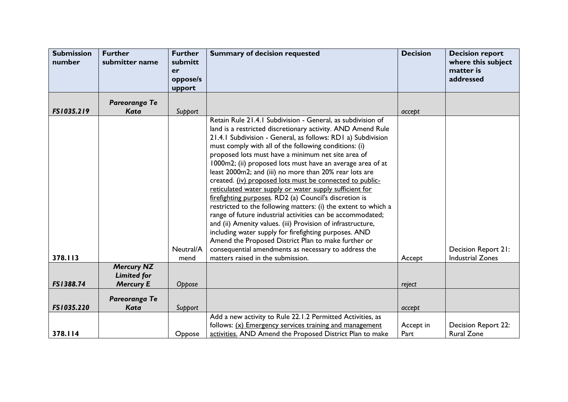| <b>Submission</b><br>number | <b>Further</b><br>submitter name        | <b>Further</b><br>submitt<br>er<br>oppose/s<br>upport | <b>Summary of decision requested</b>                                                                                                                                                                                                                                                                                                                                                                                                                                                                                                                                                                                                                                                                                                                                                                                                                                                                                                                                                                                           | <b>Decision</b>   | <b>Decision report</b><br>where this subject<br>matter is<br>addressed |
|-----------------------------|-----------------------------------------|-------------------------------------------------------|--------------------------------------------------------------------------------------------------------------------------------------------------------------------------------------------------------------------------------------------------------------------------------------------------------------------------------------------------------------------------------------------------------------------------------------------------------------------------------------------------------------------------------------------------------------------------------------------------------------------------------------------------------------------------------------------------------------------------------------------------------------------------------------------------------------------------------------------------------------------------------------------------------------------------------------------------------------------------------------------------------------------------------|-------------------|------------------------------------------------------------------------|
|                             | Pareoranga Te                           |                                                       |                                                                                                                                                                                                                                                                                                                                                                                                                                                                                                                                                                                                                                                                                                                                                                                                                                                                                                                                                                                                                                |                   |                                                                        |
| FS1035.219                  | Kata                                    | Support                                               |                                                                                                                                                                                                                                                                                                                                                                                                                                                                                                                                                                                                                                                                                                                                                                                                                                                                                                                                                                                                                                | accept            |                                                                        |
| 378.113                     |                                         | Neutral/A<br>mend                                     | Retain Rule 21.4.1 Subdivision - General, as subdivision of<br>land is a restricted discretionary activity. AND Amend Rule<br>21.4.1 Subdivision - General, as follows: RD1 a) Subdivision<br>must comply with all of the following conditions: (i)<br>proposed lots must have a minimum net site area of<br>1000m2; (ii) proposed lots must have an average area of at<br>least 2000m2; and (iii) no more than 20% rear lots are<br>created. (iv) proposed lots must be connected to public-<br>reticulated water supply or water supply sufficient for<br>firefighting purposes. RD2 (a) Council's discretion is<br>restricted to the following matters: (i) the extent to which a<br>range of future industrial activities can be accommodated;<br>and (ii) Amenity values. (iii) Provision of infrastructure,<br>including water supply for firefighting purposes. AND<br>Amend the Proposed District Plan to make further or<br>consequential amendments as necessary to address the<br>matters raised in the submission. | Accept            | Decision Report 21:<br><b>Industrial Zones</b>                         |
|                             | <b>Mercury NZ</b><br><b>Limited for</b> |                                                       |                                                                                                                                                                                                                                                                                                                                                                                                                                                                                                                                                                                                                                                                                                                                                                                                                                                                                                                                                                                                                                |                   |                                                                        |
| FS1388.74                   | <b>Mercury E</b>                        | Oppose                                                |                                                                                                                                                                                                                                                                                                                                                                                                                                                                                                                                                                                                                                                                                                                                                                                                                                                                                                                                                                                                                                | reject            |                                                                        |
| FS1035.220                  | Pareoranga Te<br><b>Kata</b>            | Support                                               |                                                                                                                                                                                                                                                                                                                                                                                                                                                                                                                                                                                                                                                                                                                                                                                                                                                                                                                                                                                                                                | accept            |                                                                        |
| 378.114                     |                                         | Oppose                                                | Add a new activity to Rule 22.1.2 Permitted Activities, as<br>follows: $(x)$ Emergency services training and management<br>activities. AND Amend the Proposed District Plan to make                                                                                                                                                                                                                                                                                                                                                                                                                                                                                                                                                                                                                                                                                                                                                                                                                                            | Accept in<br>Part | <b>Decision Report 22:</b><br><b>Rural Zone</b>                        |